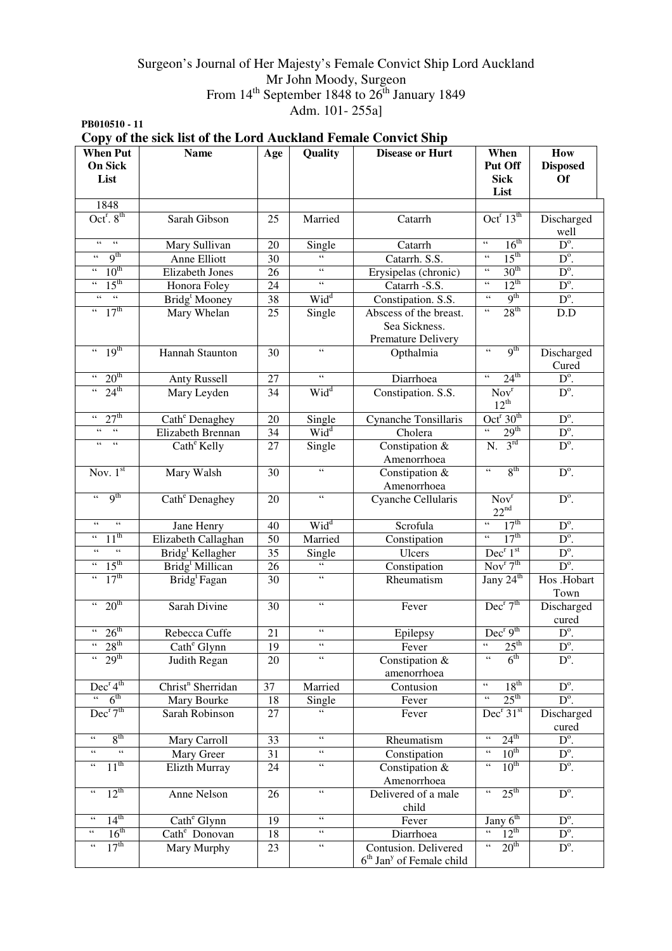## Surgeon's Journal of Her Majesty's Female Convict Ship Lord Auckland Mr John Moody, Surgeon From  $14<sup>th</sup>$  September 1848 to  $26<sup>th</sup>$  January 1849 Adm. 101- 255a]

**PB010510 - 11** 

|                                                               | Copy of the sick list of the Lord Auckland Female Convict Ship |                 |                                            |                                                                |                                               |                                     |
|---------------------------------------------------------------|----------------------------------------------------------------|-----------------|--------------------------------------------|----------------------------------------------------------------|-----------------------------------------------|-------------------------------------|
| <b>When Put</b><br><b>On Sick</b><br>List                     | <b>Name</b>                                                    | Age             | Quality                                    | <b>Disease or Hurt</b>                                         | When<br>Put Off<br><b>Sick</b><br>List        | How<br><b>Disposed</b><br><b>Of</b> |
| 1848                                                          |                                                                |                 |                                            |                                                                |                                               |                                     |
| $Octr$ . $8th$                                                | Sarah Gibson                                                   | 25              | Married                                    | Catarrh                                                        | Oct <sup>r</sup> $13^{\text{th}}$             | Discharged<br>well                  |
| $\epsilon\epsilon$<br>$\epsilon$                              | Mary Sullivan                                                  | 20              | Single                                     | Catarrh                                                        | 16 <sup>th</sup><br>$\zeta\,\zeta$            | $D^{\circ}$ .                       |
| q <sup>th</sup><br>$\zeta$ $\zeta$                            | Anne Elliott                                                   | 30              | $\zeta$ $\zeta$                            | Catarrh. S.S.                                                  | 15 <sup>th</sup><br>$\zeta\,\zeta$            | $D^{\circ}$ .                       |
| 10 <sup>th</sup><br>$\zeta\,\zeta$                            | <b>Elizabeth Jones</b>                                         | 26              | $\epsilon\,\epsilon$                       | Erysipelas (chronic)                                           | 30 <sup>th</sup><br>$\zeta\,\zeta$            | $D^{\circ}$ .                       |
| $15^{\text{th}}$<br>$\zeta\,\zeta$                            | Honora Foley                                                   | 24              | $\epsilon$                                 | Catarrh -S.S.                                                  | $12^{th}$<br>$\zeta\,\zeta$                   | $D^{\circ}$ .                       |
| $\overline{\mathfrak{c}\mathfrak{c}}$<br>$\zeta$ $\zeta$      | Bridg <sup>t</sup> Mooney                                      | 38              | Wid <sup>d</sup>                           | Constipation. S.S.                                             | 9 <sup>th</sup><br>$\zeta\,\zeta$             | $D^{\circ}$ .                       |
| 17 <sup>th</sup><br>$\zeta\,\zeta$                            | Mary Whelan                                                    | 25              | Single                                     | Abscess of the breast.<br>Sea Sickness.<br>Premature Delivery  | 28 <sup>th</sup><br>$\zeta$ $\zeta$           | D.D                                 |
| 19 <sup>th</sup><br>$\zeta\,\zeta$                            | Hannah Staunton                                                | 30              | $\epsilon\,\epsilon$                       | Opthalmia                                                      | q <sup>th</sup><br>$\zeta$ $\zeta$            | Discharged<br>Cured                 |
| 20 <sup>th</sup><br>$\epsilon$ $\epsilon$                     | <b>Anty Russell</b>                                            | 27              | 66                                         | Diarrhoea                                                      | $\overline{\mathfrak{c}}$<br>$24^{\text{th}}$ | $D^{\circ}$ .                       |
| $24^{\text{th}}$<br>$66 -$                                    | Mary Leyden                                                    | $\overline{34}$ | Wid <sup>d</sup>                           | Constipation. S.S.                                             | Nov <sup>r</sup><br>$12^{th}$                 | $D^{\circ}$ .                       |
| 27 <sup>th</sup><br>$\epsilon\,\epsilon$                      | Cath <sup>e</sup> Denaghey                                     | 20              | Single                                     | Cynanche Tonsillaris                                           | Oct <sup>r</sup> $30th$                       | $D^{\circ}$ .                       |
| $\zeta$ $\zeta$<br>$\,$ 6 $\,$                                | Elizabeth Brennan                                              | 34              | $Wid^d$                                    | Cholera                                                        | $\overline{\mathfrak{c}}$<br>29 <sup>th</sup> | $D^{\circ}$ .                       |
| $\epsilon$<br>$\zeta$ $\zeta$                                 | Cath <sup>e</sup> Kelly                                        | 27              | Single                                     | Constipation &<br>Amenorrhoea                                  | 3 <sup>rd</sup><br>N.                         | $D^{\circ}$ .                       |
| Nov. $1st$                                                    | Mary Walsh                                                     | 30              | $\overline{\mathcal{L}}$                   | Constipation &<br>Amenorrhoea                                  | 8 <sup>th</sup><br>$\zeta\,\zeta$             | $D^{\circ}$ .                       |
| q <sup>th</sup><br>$\zeta\,\zeta$                             | Cath <sup>e</sup> Denaghey                                     | 20              | $\overline{\mathbf{G}}$                    | Cyanche Cellularis                                             | Nov <sup>r</sup><br>$22^{nd}$                 | $D^{\circ}$ .                       |
| $\zeta\,\zeta$<br>$\zeta\,\zeta$                              | Jane Henry                                                     | 40              | Wid <sup>d</sup>                           | Scrofula                                                       | 17 <sup>th</sup><br>$\epsilon\,\epsilon$      | $D^{\circ}$ .                       |
| $11^{\text{th}}$<br>$\zeta\,\zeta$                            | Elizabeth Callaghan                                            | 50              | Married                                    | Constipation                                                   | 17 <sup>th</sup><br>$\epsilon\,\epsilon$      | $D^{\circ}$ .                       |
| $\zeta\,\zeta$<br>$\zeta\,\zeta$                              | Bridg <sup>t</sup> Kellagher                                   | 35              | Single                                     | Ulcers                                                         | Dec <sup>r</sup> 1 <sup>st</sup>              | $D^{\circ}$ .                       |
| 15 <sup>th</sup><br>$\boldsymbol{\zeta}$ $\boldsymbol{\zeta}$ | Bridg <sup>t</sup> Millican                                    | 26              | $\zeta\,\zeta$                             | Constipation                                                   | Nov <sup>r</sup> 7 <sup>th</sup>              | $D^{\circ}$ .                       |
| $\overline{17^{th}}$<br>$\zeta\,\zeta$                        | Bridg <sup>t</sup> Fagan                                       | 30              | $\zeta\,\zeta$                             | Rheumatism                                                     | Jany 24 <sup>th</sup>                         | Hos .Hobart<br>Town                 |
| 20 <sup>th</sup><br>$\epsilon\,\epsilon$                      | Sarah Divine                                                   | 30              | $\zeta$ $\zeta$                            | Fever                                                          | Dec <sup>r</sup> 7 <sup>th</sup>              | Discharged<br>cured                 |
| 26 <sup>th</sup><br>$\epsilon\,\epsilon$                      | Rebecca Cuffe                                                  | 21              | $\zeta\,\zeta$                             | Epilepsy                                                       | Dec <sup>r</sup> 9 <sup>th</sup>              | $\overline{D^{\circ}}$              |
| 28 <sup>th</sup><br>$\zeta\,\zeta$                            | Cath <sup>e</sup> Glynn                                        | 19              | $\zeta \, \zeta$                           | Fever                                                          | $25^{\text{th}}$<br>$\zeta$ $\zeta$           | $\overline{D^0}$ .                  |
| 29 <sup>th</sup><br>$\epsilon\,\epsilon$                      | Judith Regan                                                   | 20              | $\zeta$ $\zeta$                            | Constipation &<br>amenorrhoea                                  | 6 <sup>th</sup><br>$\zeta\,\zeta$             | $D^{\circ}$ .                       |
| Dec <sup>r</sup> 4 <sup>th</sup>                              | Christ <sup>n</sup> Sherridan                                  | 37              | Married                                    | Contusion                                                      | 18 <sup>th</sup><br>$\zeta\,\zeta$            | $D^{\circ}$ .                       |
| 6 <sup>th</sup><br>$\epsilon\epsilon$                         | Mary Bourke                                                    | 18              | Single                                     | Fever                                                          | $25^{\text{th}}$<br>$\boldsymbol{\epsilon}$   | $D^{\circ}$ .                       |
| Dec <sup>r</sup> 7 <sup>th</sup>                              | Sarah Robinson                                                 | 27              | $\zeta\,\zeta$                             | Fever                                                          | Dec <sup>r</sup> 31 <sup>st</sup>             | Discharged<br>cured                 |
| $8^{\text{th}}$<br>$\zeta\,\zeta$                             | Mary Carroll                                                   | 33              | $\boldsymbol{\zeta} \, \boldsymbol{\zeta}$ | Rheumatism                                                     | $24^{\text{th}}$<br>$\zeta\,\zeta$            | $D^{\circ}$ .                       |
| $\zeta$ $\zeta$<br>$\leftrightsquigarrow$                     | Mary Greer                                                     | 31              | $\zeta\,\zeta$                             | Constipation                                                   | $10^{\text{th}}$<br>$\zeta$ $\zeta$           | $D^{\circ}.$                        |
| $11^{\text{th}}$<br>$\zeta\,\zeta$                            | <b>Elizth Murray</b>                                           | 24              | $\zeta\,\zeta$                             | Constipation &<br>Amenorrhoea                                  | $10^{th}$<br>$\zeta\,\zeta$                   | $D^{\circ}$ .                       |
| $12^{th}$<br>$\zeta$ $\zeta$                                  | Anne Nelson                                                    | 26              | $\zeta\,\zeta$                             | Delivered of a male<br>child                                   | 25 <sup>th</sup><br>$\epsilon$ $\epsilon$     | $D^{\circ}$ .                       |
| $\zeta\,\zeta$                                                | Cath <sup>e</sup> Glynn                                        | 19              | $\zeta\,\zeta$                             | Fever                                                          | Jany 6 <sup>th</sup>                          | $D^{\circ}$ .                       |
| $\frac{14^{th}}{16^{th}}$<br>$\zeta\,\zeta$                   | Cath <sup>e</sup> Donovan                                      | 18              | $\zeta\,\zeta$                             | Diarrhoea                                                      | $12^{\text{th}}$<br>$\overline{\mathfrak{c}}$ | $D^{\circ}$ .                       |
| 17 <sup>th</sup><br>$\zeta\,\zeta$                            | Mary Murphy                                                    | 23              | $\zeta\,\zeta$                             | Contusion. Delivered<br>$6th$ Jan <sup>y</sup> of Female child | 20 <sup>th</sup><br>$\epsilon$ $\epsilon$     | $D^{\circ}$ .                       |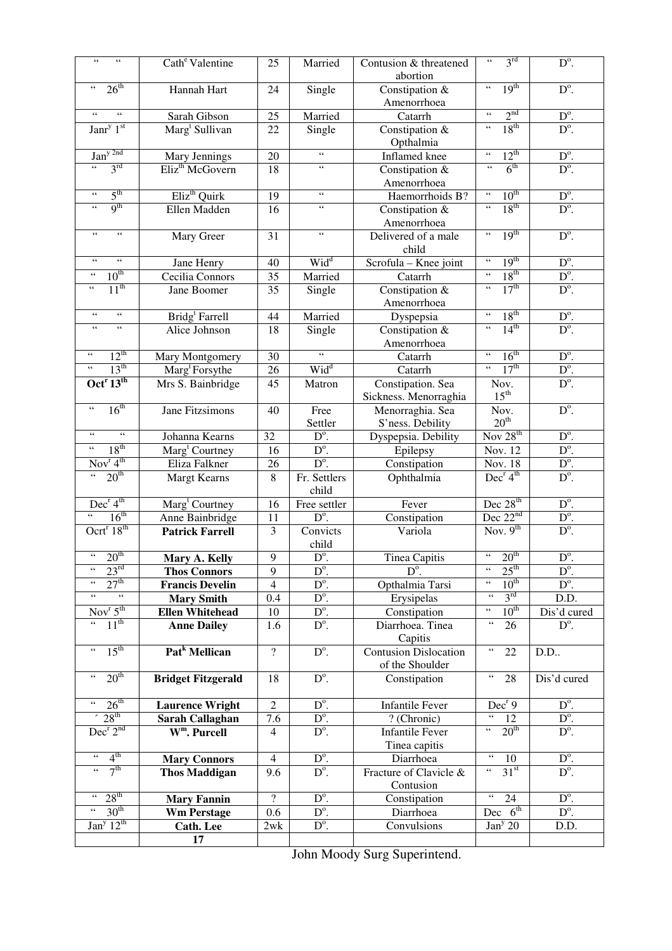| $\zeta\,\zeta$<br>$\zeta$ $\zeta$                         | Cath <sup>e</sup> Valentine | 25               | Married                  | Contusion & threatened                          | 3 <sup>rd</sup><br>$\leftrightsquigarrow$                 | $D^{\circ}$ .                  |
|-----------------------------------------------------------|-----------------------------|------------------|--------------------------|-------------------------------------------------|-----------------------------------------------------------|--------------------------------|
| $\zeta\,\zeta$                                            |                             |                  |                          | abortion                                        | 19 <sup>th</sup><br>$\zeta\,\zeta$                        |                                |
| 26 <sup>th</sup>                                          | Hannah Hart                 | 24               | Single                   | Constipation &                                  |                                                           | $D^{\circ}$ .                  |
| $\zeta\,\zeta$<br>$\zeta\,\zeta$                          |                             |                  |                          | Amenorrhoea                                     | 2 <sup>nd</sup><br>$\zeta\,\zeta$                         |                                |
| Janr <sup>y <math>1st</math></sup>                        | Sarah Gibson                | 25               | Married                  | Catarrh                                         | 18 <sup>th</sup><br>$\zeta\,\zeta$                        | $D^{\circ}$ .<br>$D^{\circ}$ . |
|                                                           | Marg <sup>t</sup> Sullivan  | 22               | Single                   | Constipation &<br>Opthalmia                     |                                                           |                                |
| Jan <sup>y 2nd</sup>                                      | Mary Jennings               | 20               | $\zeta\,\zeta$           | Inflamed knee                                   | $12^{th}$<br>$\zeta\,\zeta$                               | $\frac{D^o}{D^o}$ .            |
| $\zeta\,\zeta$<br>3 <sup>rd</sup>                         | Eliz <sup>th</sup> McGovern | 18               | $\zeta$ $\zeta$          | Constipation &                                  | 6 <sup>th</sup><br>$\zeta\,\zeta$                         |                                |
|                                                           |                             |                  |                          | Amenorrhoea                                     |                                                           |                                |
| $5^{\text{th}}$<br>$\zeta\,\zeta$                         | Eliz <sup>th</sup> Quirk    | $\overline{19}$  | $\zeta\,\zeta$           | Haemorrhoids B?                                 | 10 <sup>th</sup><br>$\leftrightsquigarrow$                | $D^{\circ}$ .                  |
| 9 <sup>th</sup><br>$\zeta\,\zeta$                         | Ellen Madden                | 16               | $\zeta$ $\zeta$          | Constipation &<br>Amenorrhoea                   | 18 <sup>th</sup><br>$\zeta\,\zeta$                        | $D^{\circ}$ .                  |
| $\zeta$ $\zeta$<br>$\epsilon\,\epsilon$                   | Mary Greer                  | 31               | $\zeta$ $\zeta$          | Delivered of a male<br>child                    | 19 <sup>th</sup><br>$\zeta\,\zeta$                        | $D^{\circ}$ .                  |
| $\zeta\,\zeta$<br>$\zeta\,\zeta$                          | Jane Henry                  | 40               | Wid <sup>d</sup>         | Scrofula - Knee joint                           | 19 <sup>th</sup><br>$\zeta\,\zeta$                        | $D^{\circ}$ .                  |
| $10^{th}$<br>$\zeta$ $\zeta$                              | Cecilia Connors             | 35               | Married                  | Catarrh                                         | 18 <sup>th</sup><br>$\zeta\,\zeta$                        | $D^{\circ}$ .                  |
| $11^{th}$<br>$\zeta$ $\zeta$                              | Jane Boomer                 | 35               | Single                   | Constipation &                                  | 17 <sup>th</sup><br>$\zeta\,\zeta$                        | $D^{\circ}$ .                  |
|                                                           |                             |                  |                          | Amenorrhoea                                     |                                                           |                                |
| $\zeta\,\zeta$<br>$\zeta\,\zeta$                          | Bridg <sup>t</sup> Farrell  | 44               | Married                  | Dyspepsia                                       | 18 <sup>th</sup><br>$\zeta\,\zeta$                        | $D^{\circ}$ .                  |
| $\zeta\,\zeta$<br>$\zeta$ $\zeta$                         | Alice Johnson               | 18               | Single                   | Constipation &<br>Amenorrhoea                   | 14 <sup>th</sup><br>$\overline{\mathfrak{c}\mathfrak{c}}$ | $D^{\circ}$ .                  |
| $12^{th}$<br>$\zeta\,\zeta$                               | Mary Montgomery             | 30               | $\overline{\mathbf{G}}$  | Catarrh                                         | 16 <sup>th</sup><br>$\zeta\,\zeta$                        | $D^{\circ}$ .                  |
| $\zeta$ $\zeta$<br>13 <sup>th</sup>                       | Marg <sup>t</sup> Forsythe  | 26               | Wid <sup>d</sup>         | Catarrh                                         | 17 <sup>th</sup><br>$\zeta\,\zeta$                        | $\mathbf{D}^{\text{o}}.$       |
| Oct <sup>r</sup> $13^{\text{th}}$                         | Mrs S. Bainbridge           | 45               | Matron                   | Constipation. Sea                               | Nov.                                                      | $D^{\circ}$ .                  |
|                                                           |                             |                  |                          | Sickness. Menorraghia                           | $15^{\text{th}}$                                          |                                |
| 16 <sup>th</sup><br>$\zeta\,\zeta$                        | Jane Fitzsimons             | 40               | Free                     | Menorraghia. Sea                                | Nov.                                                      | $D^{\circ}$ .                  |
|                                                           |                             |                  | Settler                  | S'ness. Debility                                | $20^{\rm th}$                                             |                                |
| $\zeta$ $\zeta$<br>$\zeta\,\zeta$                         | Johanna Kearns              | 32               | $\overline{D}^{\circ}$ . | Dyspepsia. Debility                             | Nov $28^{th}$                                             | $D^{\circ}$ .                  |
| 18 <sup>th</sup><br>$\zeta\,\zeta$                        | Marg <sup>t</sup> Courtney  | 16               | $D^{\circ}$ .            | Epilepsy                                        | $\overline{\text{Nov}}$ . 12                              | $D^{\circ}$ .                  |
| $\overline{\text{Nov}}^{\text{r}} 4^{\text{th}}$          | Eliza Falkner               | 26               | $D^{\circ}$ .            | Constipation                                    | Nov. 18                                                   | $D^{\circ}.$                   |
| 20 <sup>th</sup><br>$\overline{\mathfrak{c}\mathfrak{c}}$ | <b>Margt Kearns</b>         | 8                | Fr. Settlers<br>child    | Ophthalmia                                      | Dec <sup>r</sup> 4 <sup>th</sup>                          | $D^{\circ}$ .                  |
| Dec <sup>r</sup> 4 <sup>th</sup>                          | Marg <sup>t</sup> Courtney  | 16               | Free settler             | Fever                                           | Dec 28 <sup>th</sup>                                      | $D^{\circ}$ .                  |
| 16 <sup>th</sup><br>$\overline{\mathfrak{c}\mathfrak{c}}$ | Anne Bainbridge             | 11               | $D^{\circ}$ .            | Constipation                                    | Dec $22nd$                                                | $D^{\circ}$ .                  |
| Ocrt <sup>r</sup> $18th$                                  | <b>Patrick Farrell</b>      | 3                | Convicts<br>child        | Variola                                         | Nov. $9th$                                                | $D^{\circ}$ .                  |
| 20 <sup>th</sup><br>$\epsilon\,\epsilon$                  | Mary A. Kelly               | 9                | $\overline{D^{\circ}}$   | <b>Tinea Capitis</b>                            | 20 <sup>th</sup><br>$\zeta\,\zeta$                        | $\overline{D^{\circ}}$         |
| $23^{\text{rd}}$<br>$\zeta\,\zeta$                        | <b>Thos Connors</b>         | 9                | $\overline{D}^{\circ}$ . | $D^{\circ}$ .                                   | $25^{\text{th}}$<br>$\leftrightsquigarrow$                | $D^{\circ}$ .                  |
| 27 <sup>th</sup><br>$\leftrightsquigarrow$                | <b>Francis Develin</b>      | 4                | $D^{\circ}$ .            | Opthalmia Tarsi                                 | $10^{th}$<br>$\zeta\,\zeta$                               | $D^{\circ}$ .                  |
| $\leftrightsquigarrow$<br>$\boldsymbol{\epsilon}$         | <b>Mary Smith</b>           | 0.4              | $D^{\circ}$ .            | Erysipelas                                      | $3^{\text{rd}}$<br>$\zeta\,\zeta$                         | D.D.                           |
| Nov $r$ 5 <sup>th</sup>                                   | <b>Ellen Whitehead</b>      | 10               | $D^{\circ}$ .            | Constipation                                    | $10^{th}$<br>$\zeta\,\zeta$                               | Dis'd cured                    |
| $11^{th}$<br>$\zeta\,\zeta$                               | <b>Anne Dailey</b>          | 1.6              | $D^{\circ}$ .            | Diarrhoea. Tinea<br>Capitis                     | $\leftrightsquigarrow$<br>26                              | $D^{\circ}$ .                  |
| $15^{\text{th}}$<br>$\zeta\,\zeta$                        | Pat <sup>k</sup> Mellican   | $\overline{?}$   | $D^{\circ}$ .            | <b>Contusion Dislocation</b><br>of the Shoulder | $\zeta\,\zeta$<br>22                                      | D.D.                           |
| 20 <sup>th</sup><br>$\zeta$ $\zeta$                       | <b>Bridget Fitzgerald</b>   | 18               | $D^{\circ}$ .            | Constipation                                    | $\zeta\,\zeta$<br>28                                      | Dis'd cured                    |
| 26 <sup>th</sup><br>$\zeta\,\zeta$                        | <b>Laurence Wright</b>      | $\boldsymbol{2}$ | $D^{\circ}$ .            | <b>Infantile Fever</b>                          | Dec <sup>r</sup> 9                                        | $D^{\circ}$ .                  |
| $\degree$ 28 <sup>th</sup>                                | Sarah Callaghan             | 7.6              | $D^{\circ}$ .            | ? (Chronic)                                     | 12                                                        | $D^{\circ}$ .                  |
| Dec <sup>r</sup> 2 <sup>nd</sup>                          | W <sup>m</sup> . Purcell    | $\overline{4}$   | $D^{\circ}$ .            | <b>Infantile Fever</b>                          | 20 <sup>th</sup><br>$\zeta \, \zeta$                      | $D^{\circ}$ .                  |
|                                                           |                             |                  |                          | Tinea capitis                                   |                                                           |                                |
| 4 <sup>th</sup><br>$\zeta\,\zeta$                         | <b>Mary Connors</b>         | $\overline{4}$   | $D^{\circ}$ .            | Diarrhoea                                       | $\zeta\,\zeta$<br>10                                      | $D^{\circ}$ .                  |
| 7 <sup>th</sup><br>$\zeta$ $\zeta$                        | <b>Thos Maddigan</b>        | 9.6              | $D^{\circ}$ .            | Fracture of Clavicle &<br>Contusion             | 31 <sup>st</sup><br>$\zeta\,\zeta$                        | $D^{\circ}$ .                  |
| $28^{\text{th}}$<br>$\epsilon\,\epsilon$                  | <b>Mary Fannin</b>          | $\overline{?}$   | $D^{\circ}$ .            | Constipation                                    | $\zeta\,\zeta$<br>24                                      | $D^{\circ}$ .                  |
| 30 <sup>th</sup>                                          | <b>Wm Perstage</b>          | 0.6              | $D^{\circ}$ .            | Diarrhoea                                       | $Dec\ 6^{\text{th}}$                                      | $D^{\circ}$ .                  |
| Jan <sup>y</sup> 12 <sup>th</sup>                         | <b>Cath.</b> Lee            | 2wk              | $D^{\circ}$ .            | Convulsions                                     | Jan <sup>y</sup> 20                                       | D.D.                           |
|                                                           | 17                          |                  |                          |                                                 |                                                           |                                |
|                                                           |                             |                  |                          |                                                 |                                                           |                                |

John Moody Surg Superintend.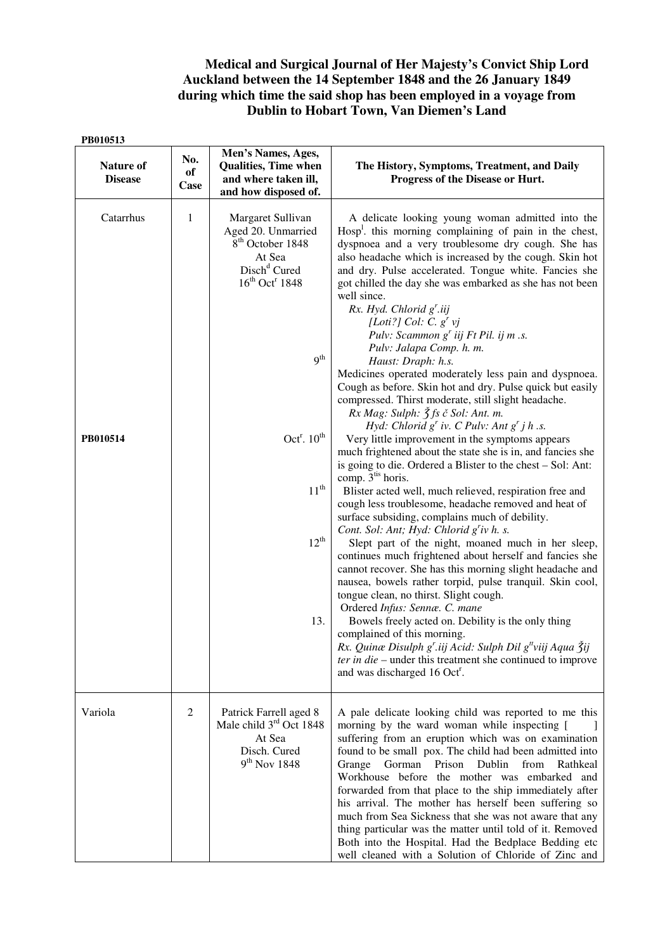## **Medical and Surgical Journal of Her Majesty's Convict Ship Lord Auckland between the 14 September 1848 and the 26 January 1849 during which time the said shop has been employed in a voyage from Dublin to Hobart Town, Van Diemen's Land**

| PB010513                    |                   |                                                                                                                                                                                                                                          |                                                                                                                                                                                                                                                                                                                                                                                                                                                                                                                                                                                                                                                                                                                                                                                                                                                                                                                                                                                                                                                                                                                                                                                                                                                                                                                                                                                                                                                                                                                                                                                                                                                                                                                                                                                                                                                       |
|-----------------------------|-------------------|------------------------------------------------------------------------------------------------------------------------------------------------------------------------------------------------------------------------------------------|-------------------------------------------------------------------------------------------------------------------------------------------------------------------------------------------------------------------------------------------------------------------------------------------------------------------------------------------------------------------------------------------------------------------------------------------------------------------------------------------------------------------------------------------------------------------------------------------------------------------------------------------------------------------------------------------------------------------------------------------------------------------------------------------------------------------------------------------------------------------------------------------------------------------------------------------------------------------------------------------------------------------------------------------------------------------------------------------------------------------------------------------------------------------------------------------------------------------------------------------------------------------------------------------------------------------------------------------------------------------------------------------------------------------------------------------------------------------------------------------------------------------------------------------------------------------------------------------------------------------------------------------------------------------------------------------------------------------------------------------------------------------------------------------------------------------------------------------------------|
| Nature of<br><b>Disease</b> | No.<br>of<br>Case | Men's Names, Ages,<br><b>Qualities, Time when</b><br>and where taken ill,<br>and how disposed of.                                                                                                                                        | The History, Symptoms, Treatment, and Daily<br>Progress of the Disease or Hurt.                                                                                                                                                                                                                                                                                                                                                                                                                                                                                                                                                                                                                                                                                                                                                                                                                                                                                                                                                                                                                                                                                                                                                                                                                                                                                                                                                                                                                                                                                                                                                                                                                                                                                                                                                                       |
| Catarrhus<br>PB010514       | $\mathbf{1}$      | Margaret Sullivan<br>Aged 20. Unmarried<br>8 <sup>th</sup> October 1848<br>At Sea<br>Disch <sup>d</sup> Cured<br>$16^{th}$ Oct <sup>r</sup> 1848<br>9 <sup>th</sup><br>Oct <sup>r</sup> . $10^{th}$<br>$11^{\rm th}$<br>$12^{th}$<br>13. | A delicate looking young woman admitted into the<br>$Hosp1$ , this morning complaining of pain in the chest,<br>dyspnoea and a very troublesome dry cough. She has<br>also headache which is increased by the cough. Skin hot<br>and dry. Pulse accelerated. Tongue white. Fancies she<br>got chilled the day she was embarked as she has not been<br>well since.<br>$Rx.$ Hyd. Chlorid $g'$ .iij<br>[Loti?] Col: $C. g'$ vj<br>Pulv: Scammon g' iij Ft Pil. ij m .s.<br>Pulv: Jalapa Comp. h. m.<br>Haust: Draph: h.s.<br>Medicines operated moderately less pain and dyspnoea.<br>Cough as before. Skin hot and dry. Pulse quick but easily<br>compressed. Thirst moderate, still slight headache.<br>$Rx\, Mag: Sulph: \tilde{\zeta}$ fs č Sol: Ant. m.<br>Hyd: Chlorid $g^r$ iv. C Pulv: Ant $g^r$ j h .s.<br>Very little improvement in the symptoms appears<br>much frightened about the state she is in, and fancies she<br>is going to die. Ordered a Blister to the chest - Sol: Ant:<br>comp. 3 <sup>tis</sup> horis.<br>Blister acted well, much relieved, respiration free and<br>cough less troublesome, headache removed and heat of<br>surface subsiding, complains much of debility.<br>Cont. Sol: Ant; Hyd: Chlorid g'iv h. s.<br>Slept part of the night, moaned much in her sleep,<br>continues much frightened about herself and fancies she<br>cannot recover. She has this morning slight headache and<br>nausea, bowels rather torpid, pulse tranquil. Skin cool,<br>tongue clean, no thirst. Slight cough.<br>Ordered Infus: Sennæ. C. mane<br>Bowels freely acted on. Debility is the only thing<br>complained of this morning.<br>Rx. Quinæ Disulph g'.iij Acid: Sulph Dil g <sup>#</sup> viij Aqua $\ddot{3}$ ij<br>ter in die – under this treatment she continued to improve<br>and was discharged 16 Oct <sup>r</sup> . |
| Variola                     | 2                 | Patrick Farrell aged 8<br>Male child 3 <sup>rd</sup> Oct 1848<br>At Sea<br>Disch. Cured<br>$9th$ Nov 1848                                                                                                                                | A pale delicate looking child was reported to me this<br>morning by the ward woman while inspecting [<br>suffering from an eruption which was on examination<br>found to be small pox. The child had been admitted into<br>Dublin<br>Grange<br>Gorman<br>Prison<br>from<br>Rathkeal<br>Workhouse before the mother was embarked and<br>forwarded from that place to the ship immediately after<br>his arrival. The mother has herself been suffering so<br>much from Sea Sickness that she was not aware that any<br>thing particular was the matter until told of it. Removed<br>Both into the Hospital. Had the Bedplace Bedding etc<br>well cleaned with a Solution of Chloride of Zinc and                                                                                                                                                                                                                                                                                                                                                                                                                                                                                                                                                                                                                                                                                                                                                                                                                                                                                                                                                                                                                                                                                                                                                        |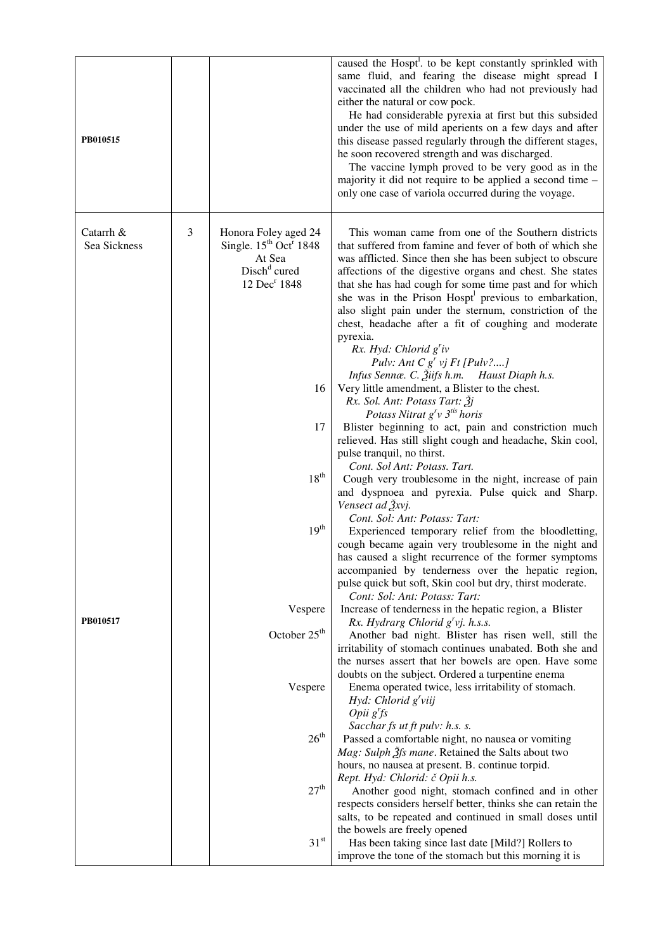| PB010515                  |   |                                                                                                                                         | caused the Hospt <sup>1</sup> . to be kept constantly sprinkled with<br>same fluid, and fearing the disease might spread I<br>vaccinated all the children who had not previously had<br>either the natural or cow pock.<br>He had considerable pyrexia at first but this subsided<br>under the use of mild aperients on a few days and after<br>this disease passed regularly through the different stages,<br>he soon recovered strength and was discharged.<br>The vaccine lymph proved to be very good as in the<br>majority it did not require to be applied a second time -<br>only one case of variola occurred during the voyage.                           |
|---------------------------|---|-----------------------------------------------------------------------------------------------------------------------------------------|--------------------------------------------------------------------------------------------------------------------------------------------------------------------------------------------------------------------------------------------------------------------------------------------------------------------------------------------------------------------------------------------------------------------------------------------------------------------------------------------------------------------------------------------------------------------------------------------------------------------------------------------------------------------|
| Catarrh &<br>Sea Sickness | 3 | Honora Foley aged 24<br>Single. $15^{th}$ Oct <sup>r</sup> 1848<br>At Sea<br>Disch <sup>d</sup> cured<br>12 Dec <sup>r</sup> 1848<br>16 | This woman came from one of the Southern districts<br>that suffered from famine and fever of both of which she<br>was afflicted. Since then she has been subject to obscure<br>affections of the digestive organs and chest. She states<br>that she has had cough for some time past and for which<br>she was in the Prison Hospt <sup>1</sup> previous to embarkation,<br>also slight pain under the sternum, constriction of the<br>chest, headache after a fit of coughing and moderate<br>pyrexia.<br>Rx. Hyd: Chlorid g'iv<br>Pulv: Ant C $g'$ vj Ft [Pulv?]<br>Infus Sennæ. C. Žiifs h.m. Haust Diaph h.s.<br>Very little amendment, a Blister to the chest. |
|                           |   | 17                                                                                                                                      | Rx. Sol. Ant: Potass Tart: Žj<br>Potass Nitrat g'v 3 <sup>tis</sup> horis<br>Blister beginning to act, pain and constriction much<br>relieved. Has still slight cough and headache, Skin cool,<br>pulse tranquil, no thirst.                                                                                                                                                                                                                                                                                                                                                                                                                                       |
|                           |   | 18 <sup>th</sup>                                                                                                                        | Cont. Sol Ant: Potass. Tart.<br>Cough very troublesome in the night, increase of pain<br>and dyspnoea and pyrexia. Pulse quick and Sharp.<br>Vensect ad $\tilde{f}$ xvj.                                                                                                                                                                                                                                                                                                                                                                                                                                                                                           |
|                           |   | 19 <sup>th</sup>                                                                                                                        | Cont. Sol: Ant: Potass: Tart:<br>Experienced temporary relief from the bloodletting,<br>cough became again very troublesome in the night and<br>has caused a slight recurrence of the former symptoms<br>accompanied by tenderness over the hepatic region,<br>pulse quick but soft, Skin cool but dry, thirst moderate.                                                                                                                                                                                                                                                                                                                                           |
|                           |   | Vespere                                                                                                                                 | Cont: Sol: Ant: Potass: Tart:<br>Increase of tenderness in the hepatic region, a Blister                                                                                                                                                                                                                                                                                                                                                                                                                                                                                                                                                                           |
| PB010517                  |   | October 25 <sup>th</sup>                                                                                                                | Rx. Hydrarg Chlorid $g'$ vj. h.s.s.                                                                                                                                                                                                                                                                                                                                                                                                                                                                                                                                                                                                                                |
|                           |   |                                                                                                                                         | Another bad night. Blister has risen well, still the<br>irritability of stomach continues unabated. Both she and<br>the nurses assert that her bowels are open. Have some<br>doubts on the subject. Ordered a turpentine enema                                                                                                                                                                                                                                                                                                                                                                                                                                     |
|                           |   | Vespere                                                                                                                                 | Enema operated twice, less irritability of stomach.<br>Hyd: Chlorid $g'$ viij<br>Opi g'fs                                                                                                                                                                                                                                                                                                                                                                                                                                                                                                                                                                          |
|                           |   | $26^{\rm th}$                                                                                                                           | Sacchar fs ut ft pulv: h.s. s.<br>Passed a comfortable night, no nausea or vomiting<br>Mag: Sulph 2fs mane. Retained the Salts about two<br>hours, no nausea at present. B. continue torpid.<br>Rept. Hyd: Chlorid: č Opii h.s.                                                                                                                                                                                                                                                                                                                                                                                                                                    |
|                           |   | 27 <sup>th</sup>                                                                                                                        | Another good night, stomach confined and in other<br>respects considers herself better, thinks she can retain the<br>salts, to be repeated and continued in small doses until                                                                                                                                                                                                                                                                                                                                                                                                                                                                                      |
|                           |   | 31 <sup>st</sup>                                                                                                                        | the bowels are freely opened<br>Has been taking since last date [Mild?] Rollers to<br>improve the tone of the stomach but this morning it is                                                                                                                                                                                                                                                                                                                                                                                                                                                                                                                       |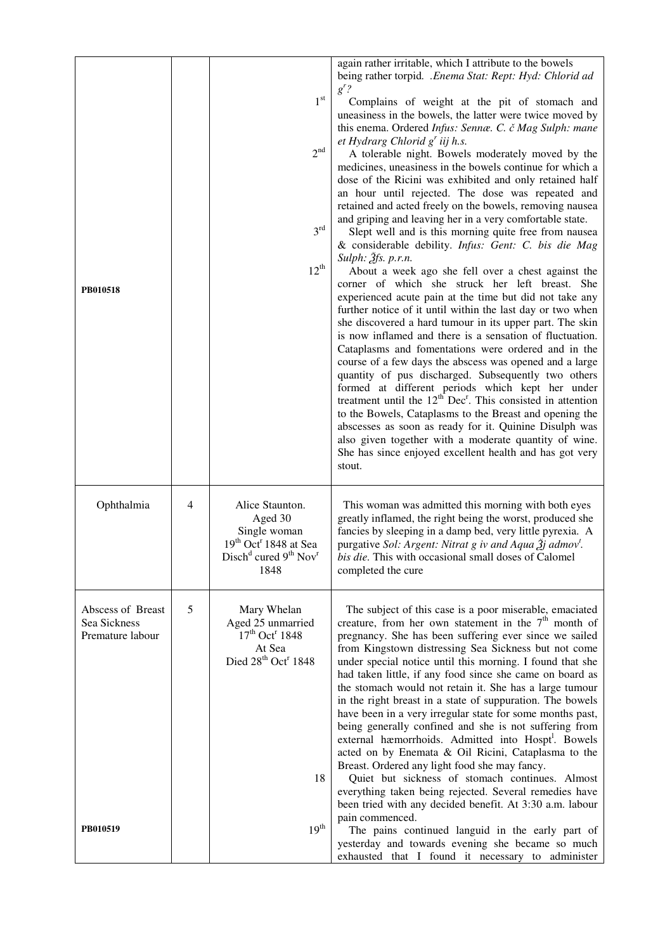|                                                       |   |                                                                                                                                                 | again rather irritable, which I attribute to the bowels<br>being rather torpid. .Enema Stat: Rept: Hyd: Chlorid ad                                                                                                                                                                                                                                                                                                                                                                                                                                                                                                                                                                                                                                                                                                                                                                                                                                                                                                                                                                                                                                                                                                                                                                                                                                                                                                                                                                                                                                                                                                                                  |
|-------------------------------------------------------|---|-------------------------------------------------------------------------------------------------------------------------------------------------|-----------------------------------------------------------------------------------------------------------------------------------------------------------------------------------------------------------------------------------------------------------------------------------------------------------------------------------------------------------------------------------------------------------------------------------------------------------------------------------------------------------------------------------------------------------------------------------------------------------------------------------------------------------------------------------------------------------------------------------------------------------------------------------------------------------------------------------------------------------------------------------------------------------------------------------------------------------------------------------------------------------------------------------------------------------------------------------------------------------------------------------------------------------------------------------------------------------------------------------------------------------------------------------------------------------------------------------------------------------------------------------------------------------------------------------------------------------------------------------------------------------------------------------------------------------------------------------------------------------------------------------------------------|
| PB010518                                              |   | $1^{\rm st}$<br>2 <sup>nd</sup><br>$3^{\text{rd}}$<br>$12^{th}$                                                                                 | $g'$ ?<br>Complains of weight at the pit of stomach and<br>uneasiness in the bowels, the latter were twice moved by<br>this enema. Ordered Infus: Sennæ. C. č Mag Sulph: mane<br>et Hydrarg Chlorid $g'$ iij h.s.<br>A tolerable night. Bowels moderately moved by the<br>medicines, uneasiness in the bowels continue for which a<br>dose of the Ricini was exhibited and only retained half<br>an hour until rejected. The dose was repeated and<br>retained and acted freely on the bowels, removing nausea<br>and griping and leaving her in a very comfortable state.<br>Slept well and is this morning quite free from nausea<br>& considerable debility. Infus: Gent: C. bis die Mag<br>Sulph: $\tilde{f}$ fs. p.r.n.<br>About a week ago she fell over a chest against the<br>corner of which she struck her left breast. She<br>experienced acute pain at the time but did not take any<br>further notice of it until within the last day or two when<br>she discovered a hard tumour in its upper part. The skin<br>is now inflamed and there is a sensation of fluctuation.<br>Cataplasms and fomentations were ordered and in the<br>course of a few days the abscess was opened and a large<br>quantity of pus discharged. Subsequently two others<br>formed at different periods which kept her under<br>treatment until the $12th$ Dec <sup>r</sup> . This consisted in attention<br>to the Bowels, Cataplasms to the Breast and opening the<br>abscesses as soon as ready for it. Quinine Disulph was<br>also given together with a moderate quantity of wine.<br>She has since enjoyed excellent health and has got very<br>stout. |
| Ophthalmia                                            | 4 | Alice Staunton.<br>Aged 30<br>Single woman<br>$19th$ Oct <sup>r</sup> 1848 at Sea<br>Disch <sup>d</sup> cured $9^{th}$ Nov <sup>r</sup><br>1848 | This woman was admitted this morning with both eyes<br>greatly inflamed, the right being the worst, produced she<br>fancies by sleeping in a damp bed, very little pyrexia. A<br>purgative Sol: Argent: Nitrat g iv and Aqua $\tilde{\chi}$ admov <sup>t</sup> .<br><i>bis die.</i> This with occasional small doses of Calomel<br>completed the cure                                                                                                                                                                                                                                                                                                                                                                                                                                                                                                                                                                                                                                                                                                                                                                                                                                                                                                                                                                                                                                                                                                                                                                                                                                                                                               |
| Abscess of Breast<br>Sea Sickness<br>Premature labour | 5 | Mary Whelan<br>Aged 25 unmarried<br>17 <sup>th</sup> Oct <sup>r</sup> 1848<br>At Sea<br>Died 28 <sup>th</sup> Oct <sup>r</sup> 1848<br>18       | The subject of this case is a poor miserable, emaciated<br>creature, from her own statement in the $7th$ month of<br>pregnancy. She has been suffering ever since we sailed<br>from Kingstown distressing Sea Sickness but not come<br>under special notice until this morning. I found that she<br>had taken little, if any food since she came on board as<br>the stomach would not retain it. She has a large tumour<br>in the right breast in a state of suppuration. The bowels<br>have been in a very irregular state for some months past,<br>being generally confined and she is not suffering from<br>external hæmorrhoids. Admitted into Hospt <sup>1</sup> . Bowels<br>acted on by Enemata & Oil Ricini, Cataplasma to the<br>Breast. Ordered any light food she may fancy.<br>Quiet but sickness of stomach continues. Almost<br>everything taken being rejected. Several remedies have<br>been tried with any decided benefit. At 3:30 a.m. labour<br>pain commenced.                                                                                                                                                                                                                                                                                                                                                                                                                                                                                                                                                                                                                                                                  |
| PB010519                                              |   | 19 <sup>th</sup>                                                                                                                                | The pains continued languid in the early part of<br>yesterday and towards evening she became so much<br>exhausted that I found it necessary to administer                                                                                                                                                                                                                                                                                                                                                                                                                                                                                                                                                                                                                                                                                                                                                                                                                                                                                                                                                                                                                                                                                                                                                                                                                                                                                                                                                                                                                                                                                           |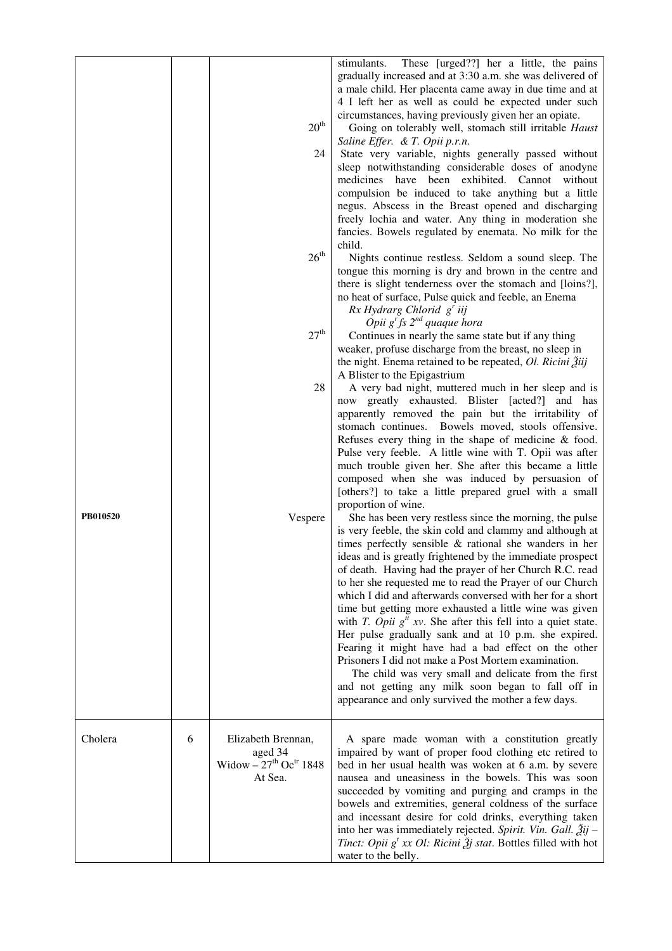|          |   | $20^{\text{th}}$<br>24                                                                      | These [urged??] her a little, the pains<br>stimulants.<br>gradually increased and at 3:30 a.m. she was delivered of<br>a male child. Her placenta came away in due time and at<br>4 I left her as well as could be expected under such<br>circumstances, having previously given her an opiate.<br>Going on tolerably well, stomach still irritable Haust<br>Saline Effer. & T. Opii p.r.n.<br>State very variable, nights generally passed without<br>sleep notwithstanding considerable doses of anodyne<br>medicines have been exhibited. Cannot without<br>compulsion be induced to take anything but a little<br>negus. Abscess in the Breast opened and discharging<br>freely lochia and water. Any thing in moderation she<br>fancies. Bowels regulated by enemata. No milk for the                                                                                                                       |
|----------|---|---------------------------------------------------------------------------------------------|------------------------------------------------------------------------------------------------------------------------------------------------------------------------------------------------------------------------------------------------------------------------------------------------------------------------------------------------------------------------------------------------------------------------------------------------------------------------------------------------------------------------------------------------------------------------------------------------------------------------------------------------------------------------------------------------------------------------------------------------------------------------------------------------------------------------------------------------------------------------------------------------------------------|
|          |   | $26^{\rm th}$                                                                               | child.<br>Nights continue restless. Seldom a sound sleep. The<br>tongue this morning is dry and brown in the centre and<br>there is slight tenderness over the stomach and [loins?],<br>no heat of surface, Pulse quick and feeble, an Enema<br>$Rx$ Hydrarg Chlorid $g'$ iij<br>Opii $g^r$ fs $2^{nd}$ quaque hora                                                                                                                                                                                                                                                                                                                                                                                                                                                                                                                                                                                              |
|          |   | 27 <sup>th</sup>                                                                            | Continues in nearly the same state but if any thing<br>weaker, profuse discharge from the breast, no sleep in<br>the night. Enema retained to be repeated, Ol. Ricini $\tilde{Z}$ iij<br>A Blister to the Epigastrium                                                                                                                                                                                                                                                                                                                                                                                                                                                                                                                                                                                                                                                                                            |
|          |   | 28                                                                                          | A very bad night, muttered much in her sleep and is<br>now greatly exhausted. Blister [acted?] and has<br>apparently removed the pain but the irritability of<br>stomach continues. Bowels moved, stools offensive.<br>Refuses every thing in the shape of medicine $\&$ food.<br>Pulse very feeble. A little wine with T. Opii was after<br>much trouble given her. She after this became a little<br>composed when she was induced by persuasion of<br>[others?] to take a little prepared gruel with a small<br>proportion of wine.                                                                                                                                                                                                                                                                                                                                                                           |
| PB010520 |   | Vespere                                                                                     | She has been very restless since the morning, the pulse<br>is very feeble, the skin cold and clammy and although at<br>times perfectly sensible $\&$ rational she wanders in her<br>ideas and is greatly frightened by the immediate prospect<br>of death. Having had the prayer of her Church R.C. read<br>to her she requested me to read the Prayer of our Church<br>which I did and afterwards conversed with her for a short<br>time but getting more exhausted a little wine was given<br>with <i>T. Opii</i> $g''$ xv. She after this fell into a quiet state.<br>Her pulse gradually sank and at 10 p.m. she expired.<br>Fearing it might have had a bad effect on the other<br>Prisoners I did not make a Post Mortem examination.<br>The child was very small and delicate from the first<br>and not getting any milk soon began to fall off in<br>appearance and only survived the mother a few days. |
| Cholera  | 6 | Elizabeth Brennan,<br>aged 34<br>Widow $-27$ <sup>th</sup> Oc <sup>tr</sup> 1848<br>At Sea. | A spare made woman with a constitution greatly<br>impaired by want of proper food clothing etc retired to<br>bed in her usual health was woken at 6 a.m. by severe<br>nausea and uneasiness in the bowels. This was soon<br>succeeded by vomiting and purging and cramps in the<br>bowels and extremities, general coldness of the surface<br>and incessant desire for cold drinks, everything taken<br>into her was immediately rejected. Spirit. Vin. Gall. $2ij$ –<br><i>Tinct: Opii</i> $g^t$ <i>xx Ol: Ricini</i> $\tilde{g}$ <i>j stat.</i> Bottles filled with hot<br>water to the belly.                                                                                                                                                                                                                                                                                                                 |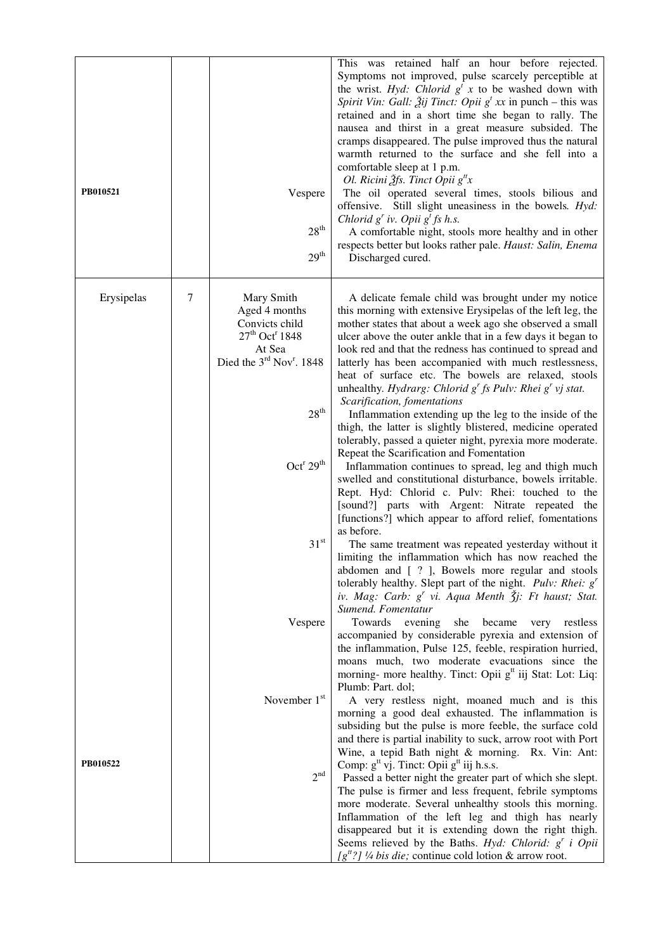| PB010521   |   | Vespere<br>28 <sup>th</sup><br>$29^{\rm th}$                                                                                                | This was retained half an hour before rejected.<br>Symptoms not improved, pulse scarcely perceptible at<br>the wrist. Hyd: Chlorid $g^t$ x to be washed down with<br>Spirit Vin: Gall: $\tilde{A}$ ij Tinct: Opii g <sup>t</sup> xx in punch – this was<br>retained and in a short time she began to rally. The<br>nausea and thirst in a great measure subsided. The<br>cramps disappeared. The pulse improved thus the natural<br>warmth returned to the surface and she fell into a<br>comfortable sleep at 1 p.m.<br>Ol. Ricini $\tilde{\mathcal{A}}$ fs. Tinct Opii $g^{t}$ x<br>The oil operated several times, stools bilious and<br>offensive. Still slight uneasiness in the bowels. Hyd:<br>Chlorid $g'$ iv. Opii $g'$ fs h.s.<br>A comfortable night, stools more healthy and in other<br>respects better but looks rather pale. Haust: Salin, Enema<br>Discharged cured. |
|------------|---|---------------------------------------------------------------------------------------------------------------------------------------------|--------------------------------------------------------------------------------------------------------------------------------------------------------------------------------------------------------------------------------------------------------------------------------------------------------------------------------------------------------------------------------------------------------------------------------------------------------------------------------------------------------------------------------------------------------------------------------------------------------------------------------------------------------------------------------------------------------------------------------------------------------------------------------------------------------------------------------------------------------------------------------------|
| Erysipelas | 7 | Mary Smith<br>Aged 4 months<br>Convicts child<br>$27th$ Oct <sup>r</sup> 1848<br>At Sea<br>Died the $3^{\text{rd}}$ Nov <sup>r</sup> . 1848 | A delicate female child was brought under my notice<br>this morning with extensive Erysipelas of the left leg, the<br>mother states that about a week ago she observed a small<br>ulcer above the outer ankle that in a few days it began to<br>look red and that the redness has continued to spread and<br>latterly has been accompanied with much restlessness,<br>heat of surface etc. The bowels are relaxed, stools<br>unhealthy. Hydrarg: Chlorid $g^r$ fs Pulv: Rhei $g^r$ vj stat.<br>Scarification, fomentations                                                                                                                                                                                                                                                                                                                                                           |
|            |   | 28 <sup>th</sup>                                                                                                                            | Inflammation extending up the leg to the inside of the<br>thigh, the latter is slightly blistered, medicine operated<br>tolerably, passed a quieter night, pyrexia more moderate.                                                                                                                                                                                                                                                                                                                                                                                                                                                                                                                                                                                                                                                                                                    |
|            |   | Oct <sup>r</sup> 29 <sup>th</sup>                                                                                                           | Repeat the Scarification and Fomentation<br>Inflammation continues to spread, leg and thigh much<br>swelled and constitutional disturbance, bowels irritable.<br>Rept. Hyd: Chlorid c. Pulv: Rhei: touched to the<br>[sound?] parts with Argent: Nitrate repeated the<br>[functions?] which appear to afford relief, fomentations<br>as before.                                                                                                                                                                                                                                                                                                                                                                                                                                                                                                                                      |
|            |   | 31 <sup>st</sup>                                                                                                                            | The same treatment was repeated yesterday without it<br>limiting the inflammation which has now reached the<br>abdomen and [ ? ], Bowels more regular and stools<br>tolerably healthy. Slept part of the night. <i>Pulv: Rhei:</i> $gr$<br>iv. Mag: Carb: g' vi. Aqua Menth Šj: Ft haust; Stat.<br>Sumend. Fomentatur                                                                                                                                                                                                                                                                                                                                                                                                                                                                                                                                                                |
|            |   | Vespere                                                                                                                                     | Towards<br>evening<br>she<br>became<br>restless<br>very<br>accompanied by considerable pyrexia and extension of<br>the inflammation, Pulse 125, feeble, respiration hurried,<br>moans much, two moderate evacuations since the<br>morning- more healthy. Tinct: Opii g <sup>tt</sup> iij Stat: Lot: Liq:<br>Plumb: Part. dol;                                                                                                                                                                                                                                                                                                                                                                                                                                                                                                                                                        |
|            |   | November 1st                                                                                                                                | A very restless night, moaned much and is this<br>morning a good deal exhausted. The inflammation is<br>subsiding but the pulse is more feeble, the surface cold<br>and there is partial inability to suck, arrow root with Port<br>Wine, a tepid Bath night & morning. Rx. Vin: Ant:                                                                                                                                                                                                                                                                                                                                                                                                                                                                                                                                                                                                |
| PB010522   |   | 2 <sup>nd</sup>                                                                                                                             | Comp: $gtt$ vj. Tinct: Opii $gtt$ iij h.s.s.<br>Passed a better night the greater part of which she slept.<br>The pulse is firmer and less frequent, febrile symptoms<br>more moderate. Several unhealthy stools this morning.<br>Inflammation of the left leg and thigh has nearly<br>disappeared but it is extending down the right thigh.<br>Seems relieved by the Baths. Hyd: Chlorid: $g'$ i Opii<br>$[g^{tt}$ ?] ¼ bis die; continue cold lotion & arrow root.                                                                                                                                                                                                                                                                                                                                                                                                                 |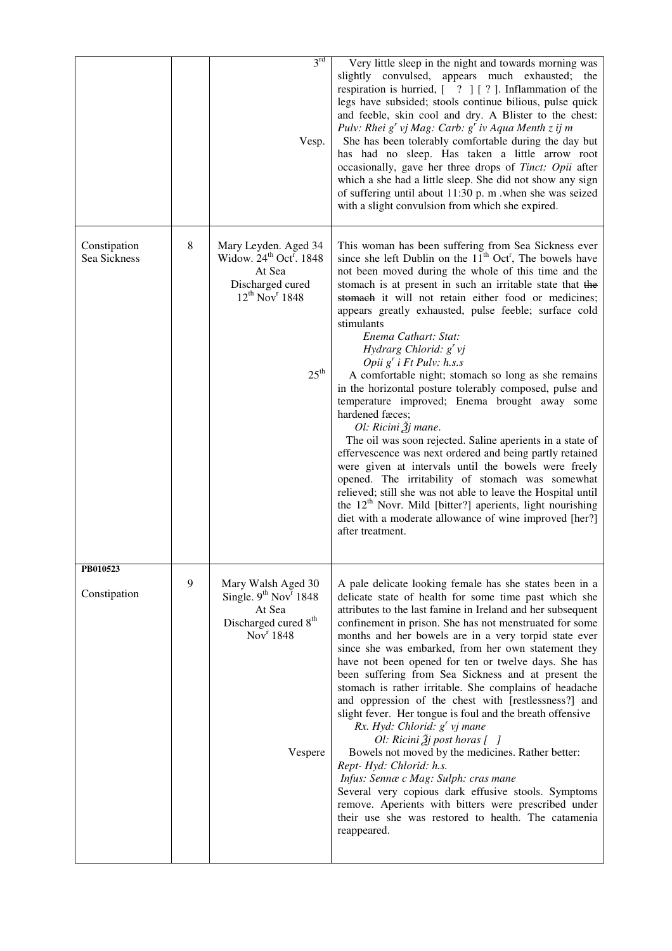|                              |         | 3 <sup>rd</sup><br>Vesp.                                                                                                                                  | Very little sleep in the night and towards morning was<br>slightly convulsed, appears much exhausted; the<br>respiration is hurried, $[-?]$ $[?]$ . Inflammation of the<br>legs have subsided; stools continue bilious, pulse quick<br>and feeble, skin cool and dry. A Blister to the chest:<br>Pulv: Rhei g' vj Mag: Carb: g' iv Aqua Menth z ij m<br>She has been tolerably comfortable during the day but<br>has had no sleep. Has taken a little arrow root<br>occasionally, gave her three drops of Tinct: Opii after<br>which a she had a little sleep. She did not show any sign<br>of suffering until about 11:30 p.m. when she was seized<br>with a slight convulsion from which she expired.                                                                                                                                                                                                                                                                                                                                                                                                                             |
|------------------------------|---------|-----------------------------------------------------------------------------------------------------------------------------------------------------------|-------------------------------------------------------------------------------------------------------------------------------------------------------------------------------------------------------------------------------------------------------------------------------------------------------------------------------------------------------------------------------------------------------------------------------------------------------------------------------------------------------------------------------------------------------------------------------------------------------------------------------------------------------------------------------------------------------------------------------------------------------------------------------------------------------------------------------------------------------------------------------------------------------------------------------------------------------------------------------------------------------------------------------------------------------------------------------------------------------------------------------------|
| Constipation<br>Sea Sickness | $\,8\,$ | Mary Leyden. Aged 34<br>Widow. 24 <sup>th</sup> Oct <sup>r</sup> . 1848<br>At Sea<br>Discharged cured<br>$12^{th}$ Nov <sup>r</sup> 1848<br>$25^{\rm th}$ | This woman has been suffering from Sea Sickness ever<br>since she left Dublin on the $11th$ Oct <sup>r</sup> , The bowels have<br>not been moved during the whole of this time and the<br>stomach is at present in such an irritable state that the<br>stomach it will not retain either food or medicines;<br>appears greatly exhausted, pulse feeble; surface cold<br>stimulants<br>Enema Cathart: Stat:<br>Hydrarg Chlorid: $g'$ vj<br>Opii $g'$ i Ft Pulv: h.s.s<br>A comfortable night; stomach so long as she remains<br>in the horizontal posture tolerably composed, pulse and<br>temperature improved; Enema brought away some<br>hardened fæces;<br>Ol: Ricini Žj mane.<br>The oil was soon rejected. Saline aperients in a state of<br>effervescence was next ordered and being partly retained<br>were given at intervals until the bowels were freely<br>opened. The irritability of stomach was somewhat<br>relieved; still she was not able to leave the Hospital until<br>the $12th$ Novr. Mild [bitter?] aperients, light nourishing<br>diet with a moderate allowance of wine improved [her?]<br>after treatment. |
| PB010523<br>Constipation     | 9       | Mary Walsh Aged 30<br>Single. 9 <sup>th</sup> Nov <sup>r</sup> 1848<br>At Sea<br>Discharged cured 8 <sup>th</sup><br>Nov <sup>r</sup> 1848<br>Vespere     | A pale delicate looking female has she states been in a<br>delicate state of health for some time past which she<br>attributes to the last famine in Ireland and her subsequent<br>confinement in prison. She has not menstruated for some<br>months and her bowels are in a very torpid state ever<br>since she was embarked, from her own statement they<br>have not been opened for ten or twelve days. She has<br>been suffering from Sea Sickness and at present the<br>stomach is rather irritable. She complains of headache<br>and oppression of the chest with [restlessness?] and<br>slight fever. Her tongue is foul and the breath offensive<br>Rx. Hyd: Chlorid: $gr$ vj mane<br>Ol: Ricini $\tilde{2}j$ post horas [ ]<br>Bowels not moved by the medicines. Rather better:<br>Rept-Hyd: Chlorid: h.s.<br>Infus: Sennæ c Mag: Sulph: cras mane<br>Several very copious dark effusive stools. Symptoms<br>remove. Aperients with bitters were prescribed under<br>their use she was restored to health. The catamenia<br>reappeared.                                                                                   |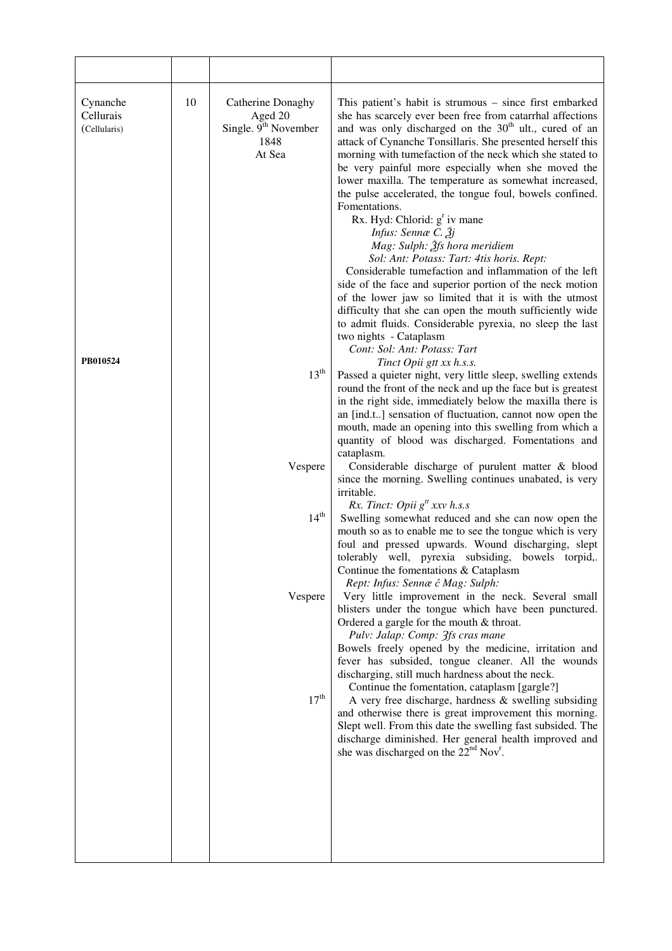| Cynanche<br>Cellurais<br>(Cellularis)<br>PB010524 | 10 | Catherine Donaghy<br>Aged 20<br>Single. 9 <sup>th</sup> November<br>1848<br>At Sea<br>13 <sup>th</sup><br>Vespere<br>14 <sup>th</sup><br>Vespere<br>$17^{\text{th}}$ | This patient's habit is strumous – since first embarked<br>she has scarcely ever been free from catarrhal affections<br>and was only discharged on the 30 <sup>th</sup> ult., cured of an<br>attack of Cynanche Tonsillaris. She presented herself this<br>morning with tumefaction of the neck which she stated to<br>be very painful more especially when she moved the<br>lower maxilla. The temperature as somewhat increased,<br>the pulse accelerated, the tongue foul, bowels confined.<br>Fomentations.<br>Rx. Hyd: Chlorid: $gr$ iv mane<br>Infus: Sennæ C. Žj<br>Mag: Sulph: Ѯfs hora meridiem<br>Sol: Ant: Potass: Tart: 4tis horis. Rept:<br>Considerable tumefaction and inflammation of the left<br>side of the face and superior portion of the neck motion<br>of the lower jaw so limited that it is with the utmost<br>difficulty that she can open the mouth sufficiently wide<br>to admit fluids. Considerable pyrexia, no sleep the last<br>two nights - Cataplasm<br>Cont: Sol: Ant: Potass: Tart<br>Tinct Opii gtt xx h.s.s.<br>Passed a quieter night, very little sleep, swelling extends<br>round the front of the neck and up the face but is greatest<br>in the right side, immediately below the maxilla there is<br>an [ind.t] sensation of fluctuation, cannot now open the<br>mouth, made an opening into this swelling from which a<br>quantity of blood was discharged. Fomentations and<br>cataplasm.<br>Considerable discharge of purulent matter & blood<br>since the morning. Swelling continues unabated, is very<br>irritable.<br>Rx. Tinct: Opii $g^t$ xxv h.s.s<br>Swelling somewhat reduced and she can now open the<br>mouth so as to enable me to see the tongue which is very<br>foul and pressed upwards. Wound discharging, slept<br>tolerably well, pyrexia subsiding, bowels torpid,.<br>Continue the fomentations $&$ Cataplasm<br>Rept: Infus: Sennæ ĉ Mag: Sulph:<br>Very little improvement in the neck. Several small<br>blisters under the tongue which have been punctured.<br>Ordered a gargle for the mouth $&$ throat.<br>Pulv: Jalap: Comp: 3fs cras mane<br>Bowels freely opened by the medicine, irritation and<br>fever has subsided, tongue cleaner. All the wounds<br>discharging, still much hardness about the neck.<br>Continue the fomentation, cataplasm [gargle?]<br>A very free discharge, hardness & swelling subsiding<br>and otherwise there is great improvement this morning.<br>Slept well. From this date the swelling fast subsided. The<br>discharge diminished. Her general health improved and<br>she was discharged on the 22 <sup>nd</sup> Nov <sup>r</sup> . |
|---------------------------------------------------|----|----------------------------------------------------------------------------------------------------------------------------------------------------------------------|----------------------------------------------------------------------------------------------------------------------------------------------------------------------------------------------------------------------------------------------------------------------------------------------------------------------------------------------------------------------------------------------------------------------------------------------------------------------------------------------------------------------------------------------------------------------------------------------------------------------------------------------------------------------------------------------------------------------------------------------------------------------------------------------------------------------------------------------------------------------------------------------------------------------------------------------------------------------------------------------------------------------------------------------------------------------------------------------------------------------------------------------------------------------------------------------------------------------------------------------------------------------------------------------------------------------------------------------------------------------------------------------------------------------------------------------------------------------------------------------------------------------------------------------------------------------------------------------------------------------------------------------------------------------------------------------------------------------------------------------------------------------------------------------------------------------------------------------------------------------------------------------------------------------------------------------------------------------------------------------------------------------------------------------------------------------------------------------------------------------------------------------------------------------------------------------------------------------------------------------------------------------------------------------------------------------------------------------------------------------------------------------------------------------------------------------------------------------------------------------------------------------------------------------------------------------------------------------------------------------------------------------------|
|                                                   |    |                                                                                                                                                                      |                                                                                                                                                                                                                                                                                                                                                                                                                                                                                                                                                                                                                                                                                                                                                                                                                                                                                                                                                                                                                                                                                                                                                                                                                                                                                                                                                                                                                                                                                                                                                                                                                                                                                                                                                                                                                                                                                                                                                                                                                                                                                                                                                                                                                                                                                                                                                                                                                                                                                                                                                                                                                                                    |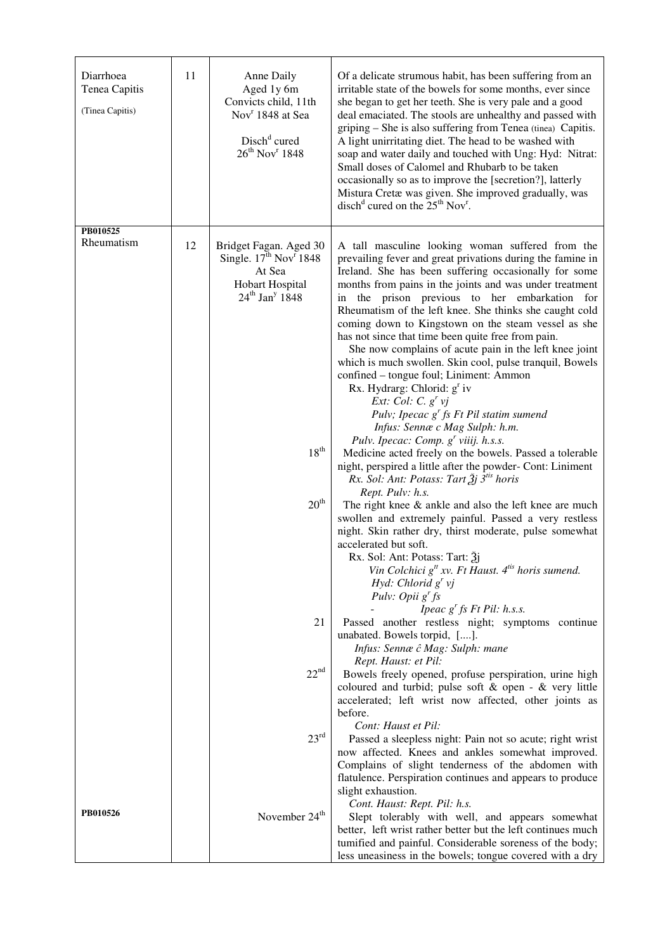| Diarrhoea<br>Tenea Capitis<br>(Tinea Capitis) | 11 | Anne Daily<br>Aged 1y 6m<br>Convicts child, 11th<br>Nov <sup>r</sup> 1848 at Sea<br>Disch <sup>d</sup> cured<br>$26^{th}$ Nov <sup>r</sup> 1848 | Of a delicate strumous habit, has been suffering from an<br>irritable state of the bowels for some months, ever since<br>she began to get her teeth. She is very pale and a good<br>deal emaciated. The stools are unhealthy and passed with<br>griping - She is also suffering from Tenea (tinea) Capitis.<br>A light unirritating diet. The head to be washed with<br>soap and water daily and touched with Ung: Hyd: Nitrat:<br>Small doses of Calomel and Rhubarb to be taken<br>occasionally so as to improve the [secretion?], latterly<br>Mistura Cretæ was given. She improved gradually, was<br>disch <sup>d</sup> cured on the $25th$ Nov <sup>r</sup> .                                                                                                                                                         |
|-----------------------------------------------|----|-------------------------------------------------------------------------------------------------------------------------------------------------|----------------------------------------------------------------------------------------------------------------------------------------------------------------------------------------------------------------------------------------------------------------------------------------------------------------------------------------------------------------------------------------------------------------------------------------------------------------------------------------------------------------------------------------------------------------------------------------------------------------------------------------------------------------------------------------------------------------------------------------------------------------------------------------------------------------------------|
| PB010525<br>Rheumatism                        | 12 | Bridget Fagan. Aged 30<br>Single. $17^{\text{th}}$ Nov <sup>r</sup> 1848<br>At Sea<br>Hobart Hospital<br>$24th$ Jan <sup>y</sup> 1848           | A tall masculine looking woman suffered from the<br>prevailing fever and great privations during the famine in<br>Ireland. She has been suffering occasionally for some<br>months from pains in the joints and was under treatment<br>in the prison previous to her embarkation for<br>Rheumatism of the left knee. She thinks she caught cold<br>coming down to Kingstown on the steam vessel as she<br>has not since that time been quite free from pain.<br>She now complains of acute pain in the left knee joint<br>which is much swollen. Skin cool, pulse tranquil, Bowels<br>confined - tongue foul; Liniment: Ammon<br>Rx. Hydrarg: Chlorid: g <sup>r</sup> iv<br>Ext: Col: C. $g^r$ vj<br>Pulv; Ipecac $g^r$ fs Ft Pil statim sumend<br>Infus: Sennæ c Mag Sulph: h.m.<br>Pulv. Ipecac: Comp. $g'$ viiij. h.s.s. |
|                                               |    | 18 <sup>th</sup>                                                                                                                                | Medicine acted freely on the bowels. Passed a tolerable<br>night, perspired a little after the powder- Cont: Liniment<br>Rx. Sol: Ant: Potass: Tart $\tilde{\mathcal{Z}}$ j 3 <sup>tis</sup> horis                                                                                                                                                                                                                                                                                                                                                                                                                                                                                                                                                                                                                         |
|                                               |    | 20 <sup>th</sup>                                                                                                                                | Rept. Pulv: h.s.<br>The right knee $\&$ ankle and also the left knee are much<br>swollen and extremely painful. Passed a very restless<br>night. Skin rather dry, thirst moderate, pulse somewhat<br>accelerated but soft.<br>Rx. Sol: Ant: Potass: Tart: 31<br>Vin Colchici $g^t$ xv. Ft Haust. $4^{t}$ horis sumend.<br>Hyd: Chlorid $g'$ vj<br>Pulv: Opii $g^r$ fs                                                                                                                                                                                                                                                                                                                                                                                                                                                      |
|                                               |    | 21                                                                                                                                              | Ipeac $g^r$ fs Ft Pil: h.s.s.<br>Passed another restless night; symptoms continue<br>unabated. Bowels torpid, [].<br>Infus: Sennæ ĉ Mag: Sulph: mane<br>Rept. Haust: et Pil:                                                                                                                                                                                                                                                                                                                                                                                                                                                                                                                                                                                                                                               |
|                                               |    | 22 <sup>nd</sup>                                                                                                                                | Bowels freely opened, profuse perspiration, urine high<br>coloured and turbid; pulse soft $&$ open - $&$ very little<br>accelerated; left wrist now affected, other joints as<br>before.                                                                                                                                                                                                                                                                                                                                                                                                                                                                                                                                                                                                                                   |
|                                               |    | 23 <sup>rd</sup>                                                                                                                                | Cont: Haust et Pil:<br>Passed a sleepless night: Pain not so acute; right wrist<br>now affected. Knees and ankles somewhat improved.<br>Complains of slight tenderness of the abdomen with<br>flatulence. Perspiration continues and appears to produce                                                                                                                                                                                                                                                                                                                                                                                                                                                                                                                                                                    |
| PB010526                                      |    | November 24 <sup>th</sup>                                                                                                                       | slight exhaustion.<br>Cont. Haust: Rept. Pil: h.s.<br>Slept tolerably with well, and appears somewhat<br>better, left wrist rather better but the left continues much<br>tumified and painful. Considerable soreness of the body;<br>less uneasiness in the bowels; tongue covered with a dry                                                                                                                                                                                                                                                                                                                                                                                                                                                                                                                              |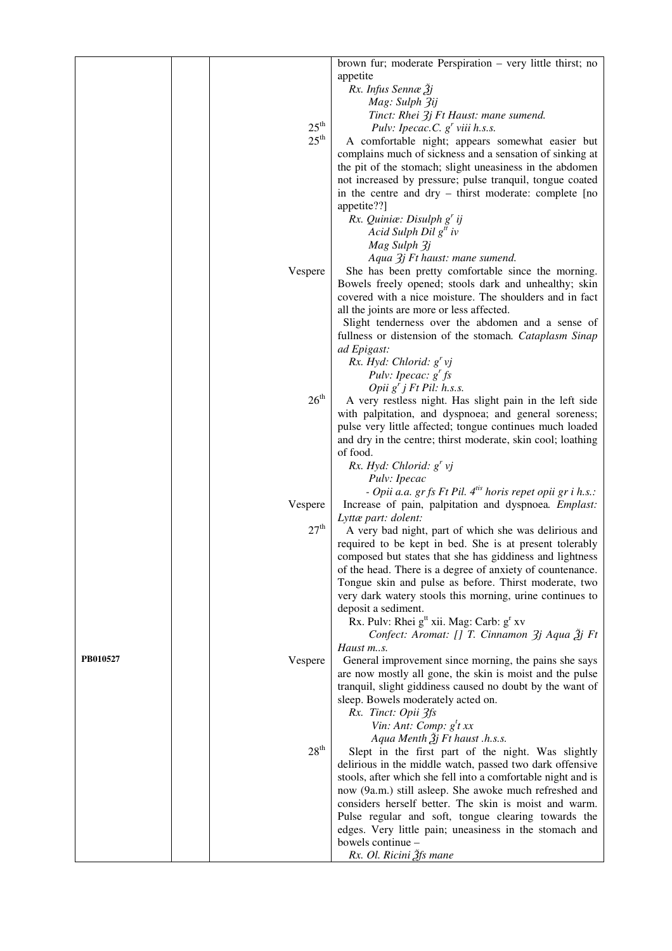|          |                  | brown fur; moderate Perspiration - very little thirst; no              |
|----------|------------------|------------------------------------------------------------------------|
|          |                  | appetite                                                               |
|          |                  | Rx. Infus Sennæ Žj                                                     |
|          |                  | Mag: Sulph 3ij                                                         |
|          |                  | Tinct: Rhei 3j Ft Haust: mane sumend.                                  |
|          | $25^{\text{th}}$ | Pulv: Ipecac.C. $g^r$ viii h.s.s.                                      |
|          | $25^{\text{th}}$ | A comfortable night; appears somewhat easier but                       |
|          |                  | complains much of sickness and a sensation of sinking at               |
|          |                  | the pit of the stomach; slight uneasiness in the abdomen               |
|          |                  | not increased by pressure; pulse tranquil, tongue coated               |
|          |                  | in the centre and dry – thirst moderate: complete [no                  |
|          |                  | appetite??]                                                            |
|          |                  | Rx. Quiniæ: Disulph $g'$ ij                                            |
|          |                  | Acid Sulph Dil $g^t$ iv                                                |
|          |                  | Mag Sulph 3j                                                           |
|          |                  | Aqua 3j Ft haust: mane sumend.                                         |
|          | Vespere          | She has been pretty comfortable since the morning.                     |
|          |                  | Bowels freely opened; stools dark and unhealthy; skin                  |
|          |                  | covered with a nice moisture. The shoulders and in fact                |
|          |                  | all the joints are more or less affected.                              |
|          |                  | Slight tenderness over the abdomen and a sense of                      |
|          |                  | fullness or distension of the stomach. Cataplasm Sinap                 |
|          |                  | ad Epigast:                                                            |
|          |                  | Rx. Hyd: Chlorid: $g^{r}$ vj                                           |
|          |                  | Pulv: Ipecac: $g^r$ fs                                                 |
|          |                  | Opii $g'$ j Ft Pil: h.s.s.                                             |
|          | 26 <sup>th</sup> | A very restless night. Has slight pain in the left side                |
|          |                  | with palpitation, and dyspnoea; and general soreness;                  |
|          |                  | pulse very little affected; tongue continues much loaded               |
|          |                  | and dry in the centre; thirst moderate, skin cool; loathing            |
|          |                  | of food.                                                               |
|          |                  | Rx. Hyd: Chlorid: $g^{r}$ vj                                           |
|          |                  | Pulv: Ipecac                                                           |
|          |                  | - Opii a.a. gr fs Ft Pil. 4 <sup>tis</sup> horis repet opii gr i h.s.: |
|          | Vespere          | Increase of pain, palpitation and dyspnoea. Emplast:                   |
|          |                  | Lyttæ part: dolent:                                                    |
|          | 27 <sup>th</sup> | A very bad night, part of which she was delirious and                  |
|          |                  | required to be kept in bed. She is at present tolerably                |
|          |                  | composed but states that she has giddiness and lightness               |
|          |                  | of the head. There is a degree of anxiety of countenance.              |
|          |                  | Tongue skin and pulse as before. Thirst moderate, two                  |
|          |                  | very dark watery stools this morning, urine continues to               |
|          |                  | deposit a sediment.                                                    |
|          |                  | Rx. Pulv: Rhei g <sup>tt</sup> xii. Mag: Carb: g <sup>r</sup> xv       |
|          |                  | Confect: Aromat: [] T. Cinnamon 3j Aqua 3j Ft                          |
|          |                  | Haust m.s.                                                             |
| PB010527 | Vespere          | General improvement since morning, the pains she says                  |
|          |                  | are now mostly all gone, the skin is moist and the pulse               |
|          |                  | tranquil, slight giddiness caused no doubt by the want of              |
|          |                  | sleep. Bowels moderately acted on.                                     |
|          |                  | Rx. Tinct: Opii 3fs                                                    |
|          |                  | Vin: Ant: Comp: $g^t$ t xx                                             |
|          |                  | Aqua Menth $\tilde{A}$ j Ft haust .h.s.s.                              |
|          | 28 <sup>th</sup> | Slept in the first part of the night. Was slightly                     |
|          |                  | delirious in the middle watch, passed two dark offensive               |
|          |                  | stools, after which she fell into a comfortable night and is           |
|          |                  | now (9a.m.) still asleep. She awoke much refreshed and                 |
|          |                  | considers herself better. The skin is moist and warm.                  |
|          |                  | Pulse regular and soft, tongue clearing towards the                    |
|          |                  | edges. Very little pain; uneasiness in the stomach and                 |
|          |                  | bowels continue -                                                      |
|          |                  | Rx. Ol. Ricini Ѯfs mane                                                |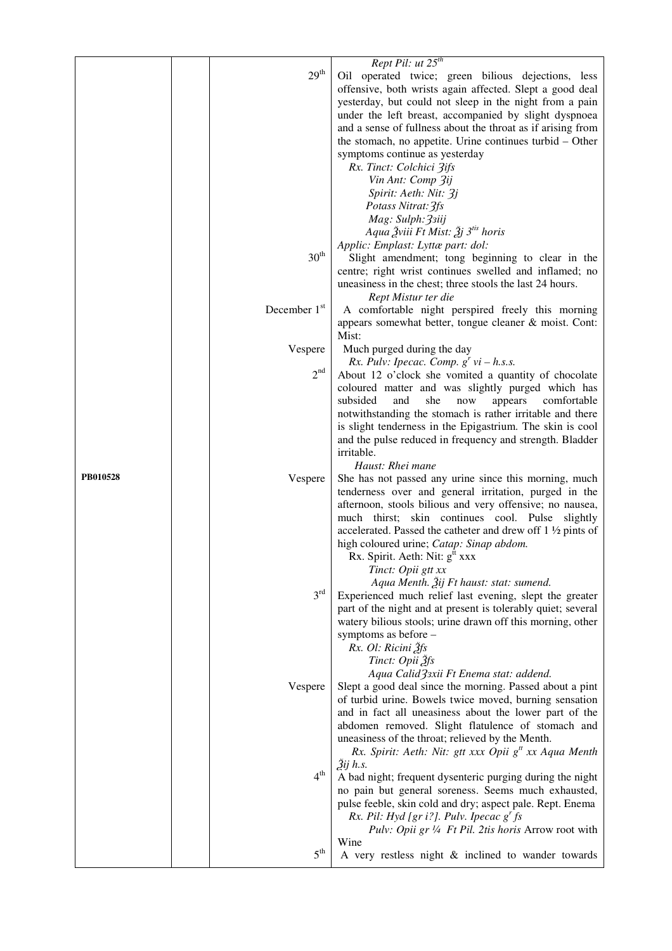| $29^{\rm th}$<br>Oil operated twice; green bilious dejections, less<br>offensive, both wrists again affected. Slept a good deal<br>yesterday, but could not sleep in the night from a pain<br>under the left breast, accompanied by slight dyspnoea<br>and a sense of fullness about the throat as if arising from<br>the stomach, no appetite. Urine continues turbid – Other<br>symptoms continue as yesterday<br>Rx. Tinct: Colchici 3ifs<br>Vin Ant: Comp 3ij<br>Spirit: Aeth: Nit: 3j<br>Potass Nitrat: 3fs<br>Mag: Sulph: 33iij<br>Aqua Žviii Ft Mist: Žj 3 <sup>tis</sup> horis<br>Applic: Emplast: Lyttæ part: dol:<br>$30^{\rm th}$<br>Slight amendment; tong beginning to clear in the<br>centre; right wrist continues swelled and inflamed; no<br>uneasiness in the chest; three stools the last 24 hours.<br>Rept Mistur ter die<br>December 1st<br>A comfortable night perspired freely this morning<br>appears somewhat better, tongue cleaner & moist. Cont:<br>Mist:<br>Much purged during the day<br>Vespere<br>Rx. Pulv: Ipecac. Comp. $g'$ vi – h.s.s.<br>$2^{\rm nd}$<br>About 12 o'clock she vomited a quantity of chocolate<br>coloured matter and was slightly purged which has<br>subsided<br>and<br>she<br>appears<br>comfortable<br>now<br>notwithstanding the stomach is rather irritable and there<br>is slight tenderness in the Epigastrium. The skin is cool<br>and the pulse reduced in frequency and strength. Bladder<br>irritable.<br>Haust: Rhei mane<br>PB010528<br>Vespere<br>She has not passed any urine since this morning, much<br>tenderness over and general irritation, purged in the<br>afternoon, stools bilious and very offensive; no nausea,<br>much thirst; skin continues cool. Pulse slightly<br>accelerated. Passed the catheter and drew off $1\frac{1}{2}$ pints of<br>high coloured urine; Catap: Sinap abdom.<br>Rx. Spirit. Aeth: Nit: $gtt$ xxx<br>Tinct: Opii gtt xx<br>Aqua Menth. Žij Ft haust: stat: sumend.<br>3 <sup>rd</sup><br>Experienced much relief last evening, slept the greater<br>part of the night and at present is tolerably quiet; several<br>watery bilious stools; urine drawn off this morning, other<br>symptoms as before -<br>Rx. Ol: Ricini Žfs<br>Tinct: Opii Žfs<br>Aqua Calid 33xii Ft Enema stat: addend.<br>Slept a good deal since the morning. Passed about a pint<br>Vespere<br>of turbid urine. Bowels twice moved, burning sensation<br>and in fact all uneasiness about the lower part of the<br>abdomen removed. Slight flatulence of stomach and<br>uneasiness of the throat; relieved by the Menth.<br>Rx. Spirit: Aeth: Nit: gtt xxx Opii $g''$ xx Aqua Menth<br>$2ij$ h.s.<br>$4^{\rm th}$<br>A bad night; frequent dysenteric purging during the night<br>no pain but general soreness. Seems much exhausted,<br>pulse feeble, skin cold and dry; aspect pale. Rept. Enema<br>Rx. Pil: Hyd [gr i?]. Pulv. Ipecac $gr$ fs<br>Pulv: Opii gr 1/4 Ft Pil. 2tis horis Arrow root with<br>Wine<br>5 <sup>th</sup><br>A very restless night & inclined to wander towards |  | Rept Pil: $ut 25th$ |
|----------------------------------------------------------------------------------------------------------------------------------------------------------------------------------------------------------------------------------------------------------------------------------------------------------------------------------------------------------------------------------------------------------------------------------------------------------------------------------------------------------------------------------------------------------------------------------------------------------------------------------------------------------------------------------------------------------------------------------------------------------------------------------------------------------------------------------------------------------------------------------------------------------------------------------------------------------------------------------------------------------------------------------------------------------------------------------------------------------------------------------------------------------------------------------------------------------------------------------------------------------------------------------------------------------------------------------------------------------------------------------------------------------------------------------------------------------------------------------------------------------------------------------------------------------------------------------------------------------------------------------------------------------------------------------------------------------------------------------------------------------------------------------------------------------------------------------------------------------------------------------------------------------------------------------------------------------------------------------------------------------------------------------------------------------------------------------------------------------------------------------------------------------------------------------------------------------------------------------------------------------------------------------------------------------------------------------------------------------------------------------------------------------------------------------------------------------------------------------------------------------------------------------------------------------------------------------------------------------------------------------------------------------------------------------------------------------------------------------------------------------------------------------------------------------------------------------------------------------------------------------------------------------------------------------------------------------------------------------------------------------------------------------------------------------------------------|--|---------------------|
|                                                                                                                                                                                                                                                                                                                                                                                                                                                                                                                                                                                                                                                                                                                                                                                                                                                                                                                                                                                                                                                                                                                                                                                                                                                                                                                                                                                                                                                                                                                                                                                                                                                                                                                                                                                                                                                                                                                                                                                                                                                                                                                                                                                                                                                                                                                                                                                                                                                                                                                                                                                                                                                                                                                                                                                                                                                                                                                                                                                                                                                                            |  |                     |
|                                                                                                                                                                                                                                                                                                                                                                                                                                                                                                                                                                                                                                                                                                                                                                                                                                                                                                                                                                                                                                                                                                                                                                                                                                                                                                                                                                                                                                                                                                                                                                                                                                                                                                                                                                                                                                                                                                                                                                                                                                                                                                                                                                                                                                                                                                                                                                                                                                                                                                                                                                                                                                                                                                                                                                                                                                                                                                                                                                                                                                                                            |  |                     |
|                                                                                                                                                                                                                                                                                                                                                                                                                                                                                                                                                                                                                                                                                                                                                                                                                                                                                                                                                                                                                                                                                                                                                                                                                                                                                                                                                                                                                                                                                                                                                                                                                                                                                                                                                                                                                                                                                                                                                                                                                                                                                                                                                                                                                                                                                                                                                                                                                                                                                                                                                                                                                                                                                                                                                                                                                                                                                                                                                                                                                                                                            |  |                     |
|                                                                                                                                                                                                                                                                                                                                                                                                                                                                                                                                                                                                                                                                                                                                                                                                                                                                                                                                                                                                                                                                                                                                                                                                                                                                                                                                                                                                                                                                                                                                                                                                                                                                                                                                                                                                                                                                                                                                                                                                                                                                                                                                                                                                                                                                                                                                                                                                                                                                                                                                                                                                                                                                                                                                                                                                                                                                                                                                                                                                                                                                            |  |                     |
|                                                                                                                                                                                                                                                                                                                                                                                                                                                                                                                                                                                                                                                                                                                                                                                                                                                                                                                                                                                                                                                                                                                                                                                                                                                                                                                                                                                                                                                                                                                                                                                                                                                                                                                                                                                                                                                                                                                                                                                                                                                                                                                                                                                                                                                                                                                                                                                                                                                                                                                                                                                                                                                                                                                                                                                                                                                                                                                                                                                                                                                                            |  |                     |
|                                                                                                                                                                                                                                                                                                                                                                                                                                                                                                                                                                                                                                                                                                                                                                                                                                                                                                                                                                                                                                                                                                                                                                                                                                                                                                                                                                                                                                                                                                                                                                                                                                                                                                                                                                                                                                                                                                                                                                                                                                                                                                                                                                                                                                                                                                                                                                                                                                                                                                                                                                                                                                                                                                                                                                                                                                                                                                                                                                                                                                                                            |  |                     |
|                                                                                                                                                                                                                                                                                                                                                                                                                                                                                                                                                                                                                                                                                                                                                                                                                                                                                                                                                                                                                                                                                                                                                                                                                                                                                                                                                                                                                                                                                                                                                                                                                                                                                                                                                                                                                                                                                                                                                                                                                                                                                                                                                                                                                                                                                                                                                                                                                                                                                                                                                                                                                                                                                                                                                                                                                                                                                                                                                                                                                                                                            |  |                     |
|                                                                                                                                                                                                                                                                                                                                                                                                                                                                                                                                                                                                                                                                                                                                                                                                                                                                                                                                                                                                                                                                                                                                                                                                                                                                                                                                                                                                                                                                                                                                                                                                                                                                                                                                                                                                                                                                                                                                                                                                                                                                                                                                                                                                                                                                                                                                                                                                                                                                                                                                                                                                                                                                                                                                                                                                                                                                                                                                                                                                                                                                            |  |                     |
|                                                                                                                                                                                                                                                                                                                                                                                                                                                                                                                                                                                                                                                                                                                                                                                                                                                                                                                                                                                                                                                                                                                                                                                                                                                                                                                                                                                                                                                                                                                                                                                                                                                                                                                                                                                                                                                                                                                                                                                                                                                                                                                                                                                                                                                                                                                                                                                                                                                                                                                                                                                                                                                                                                                                                                                                                                                                                                                                                                                                                                                                            |  |                     |
|                                                                                                                                                                                                                                                                                                                                                                                                                                                                                                                                                                                                                                                                                                                                                                                                                                                                                                                                                                                                                                                                                                                                                                                                                                                                                                                                                                                                                                                                                                                                                                                                                                                                                                                                                                                                                                                                                                                                                                                                                                                                                                                                                                                                                                                                                                                                                                                                                                                                                                                                                                                                                                                                                                                                                                                                                                                                                                                                                                                                                                                                            |  |                     |
|                                                                                                                                                                                                                                                                                                                                                                                                                                                                                                                                                                                                                                                                                                                                                                                                                                                                                                                                                                                                                                                                                                                                                                                                                                                                                                                                                                                                                                                                                                                                                                                                                                                                                                                                                                                                                                                                                                                                                                                                                                                                                                                                                                                                                                                                                                                                                                                                                                                                                                                                                                                                                                                                                                                                                                                                                                                                                                                                                                                                                                                                            |  |                     |
|                                                                                                                                                                                                                                                                                                                                                                                                                                                                                                                                                                                                                                                                                                                                                                                                                                                                                                                                                                                                                                                                                                                                                                                                                                                                                                                                                                                                                                                                                                                                                                                                                                                                                                                                                                                                                                                                                                                                                                                                                                                                                                                                                                                                                                                                                                                                                                                                                                                                                                                                                                                                                                                                                                                                                                                                                                                                                                                                                                                                                                                                            |  |                     |
|                                                                                                                                                                                                                                                                                                                                                                                                                                                                                                                                                                                                                                                                                                                                                                                                                                                                                                                                                                                                                                                                                                                                                                                                                                                                                                                                                                                                                                                                                                                                                                                                                                                                                                                                                                                                                                                                                                                                                                                                                                                                                                                                                                                                                                                                                                                                                                                                                                                                                                                                                                                                                                                                                                                                                                                                                                                                                                                                                                                                                                                                            |  |                     |
|                                                                                                                                                                                                                                                                                                                                                                                                                                                                                                                                                                                                                                                                                                                                                                                                                                                                                                                                                                                                                                                                                                                                                                                                                                                                                                                                                                                                                                                                                                                                                                                                                                                                                                                                                                                                                                                                                                                                                                                                                                                                                                                                                                                                                                                                                                                                                                                                                                                                                                                                                                                                                                                                                                                                                                                                                                                                                                                                                                                                                                                                            |  |                     |
|                                                                                                                                                                                                                                                                                                                                                                                                                                                                                                                                                                                                                                                                                                                                                                                                                                                                                                                                                                                                                                                                                                                                                                                                                                                                                                                                                                                                                                                                                                                                                                                                                                                                                                                                                                                                                                                                                                                                                                                                                                                                                                                                                                                                                                                                                                                                                                                                                                                                                                                                                                                                                                                                                                                                                                                                                                                                                                                                                                                                                                                                            |  |                     |
|                                                                                                                                                                                                                                                                                                                                                                                                                                                                                                                                                                                                                                                                                                                                                                                                                                                                                                                                                                                                                                                                                                                                                                                                                                                                                                                                                                                                                                                                                                                                                                                                                                                                                                                                                                                                                                                                                                                                                                                                                                                                                                                                                                                                                                                                                                                                                                                                                                                                                                                                                                                                                                                                                                                                                                                                                                                                                                                                                                                                                                                                            |  |                     |
|                                                                                                                                                                                                                                                                                                                                                                                                                                                                                                                                                                                                                                                                                                                                                                                                                                                                                                                                                                                                                                                                                                                                                                                                                                                                                                                                                                                                                                                                                                                                                                                                                                                                                                                                                                                                                                                                                                                                                                                                                                                                                                                                                                                                                                                                                                                                                                                                                                                                                                                                                                                                                                                                                                                                                                                                                                                                                                                                                                                                                                                                            |  |                     |
|                                                                                                                                                                                                                                                                                                                                                                                                                                                                                                                                                                                                                                                                                                                                                                                                                                                                                                                                                                                                                                                                                                                                                                                                                                                                                                                                                                                                                                                                                                                                                                                                                                                                                                                                                                                                                                                                                                                                                                                                                                                                                                                                                                                                                                                                                                                                                                                                                                                                                                                                                                                                                                                                                                                                                                                                                                                                                                                                                                                                                                                                            |  |                     |
|                                                                                                                                                                                                                                                                                                                                                                                                                                                                                                                                                                                                                                                                                                                                                                                                                                                                                                                                                                                                                                                                                                                                                                                                                                                                                                                                                                                                                                                                                                                                                                                                                                                                                                                                                                                                                                                                                                                                                                                                                                                                                                                                                                                                                                                                                                                                                                                                                                                                                                                                                                                                                                                                                                                                                                                                                                                                                                                                                                                                                                                                            |  |                     |
|                                                                                                                                                                                                                                                                                                                                                                                                                                                                                                                                                                                                                                                                                                                                                                                                                                                                                                                                                                                                                                                                                                                                                                                                                                                                                                                                                                                                                                                                                                                                                                                                                                                                                                                                                                                                                                                                                                                                                                                                                                                                                                                                                                                                                                                                                                                                                                                                                                                                                                                                                                                                                                                                                                                                                                                                                                                                                                                                                                                                                                                                            |  |                     |
|                                                                                                                                                                                                                                                                                                                                                                                                                                                                                                                                                                                                                                                                                                                                                                                                                                                                                                                                                                                                                                                                                                                                                                                                                                                                                                                                                                                                                                                                                                                                                                                                                                                                                                                                                                                                                                                                                                                                                                                                                                                                                                                                                                                                                                                                                                                                                                                                                                                                                                                                                                                                                                                                                                                                                                                                                                                                                                                                                                                                                                                                            |  |                     |
|                                                                                                                                                                                                                                                                                                                                                                                                                                                                                                                                                                                                                                                                                                                                                                                                                                                                                                                                                                                                                                                                                                                                                                                                                                                                                                                                                                                                                                                                                                                                                                                                                                                                                                                                                                                                                                                                                                                                                                                                                                                                                                                                                                                                                                                                                                                                                                                                                                                                                                                                                                                                                                                                                                                                                                                                                                                                                                                                                                                                                                                                            |  |                     |
|                                                                                                                                                                                                                                                                                                                                                                                                                                                                                                                                                                                                                                                                                                                                                                                                                                                                                                                                                                                                                                                                                                                                                                                                                                                                                                                                                                                                                                                                                                                                                                                                                                                                                                                                                                                                                                                                                                                                                                                                                                                                                                                                                                                                                                                                                                                                                                                                                                                                                                                                                                                                                                                                                                                                                                                                                                                                                                                                                                                                                                                                            |  |                     |
|                                                                                                                                                                                                                                                                                                                                                                                                                                                                                                                                                                                                                                                                                                                                                                                                                                                                                                                                                                                                                                                                                                                                                                                                                                                                                                                                                                                                                                                                                                                                                                                                                                                                                                                                                                                                                                                                                                                                                                                                                                                                                                                                                                                                                                                                                                                                                                                                                                                                                                                                                                                                                                                                                                                                                                                                                                                                                                                                                                                                                                                                            |  |                     |
|                                                                                                                                                                                                                                                                                                                                                                                                                                                                                                                                                                                                                                                                                                                                                                                                                                                                                                                                                                                                                                                                                                                                                                                                                                                                                                                                                                                                                                                                                                                                                                                                                                                                                                                                                                                                                                                                                                                                                                                                                                                                                                                                                                                                                                                                                                                                                                                                                                                                                                                                                                                                                                                                                                                                                                                                                                                                                                                                                                                                                                                                            |  |                     |
|                                                                                                                                                                                                                                                                                                                                                                                                                                                                                                                                                                                                                                                                                                                                                                                                                                                                                                                                                                                                                                                                                                                                                                                                                                                                                                                                                                                                                                                                                                                                                                                                                                                                                                                                                                                                                                                                                                                                                                                                                                                                                                                                                                                                                                                                                                                                                                                                                                                                                                                                                                                                                                                                                                                                                                                                                                                                                                                                                                                                                                                                            |  |                     |
|                                                                                                                                                                                                                                                                                                                                                                                                                                                                                                                                                                                                                                                                                                                                                                                                                                                                                                                                                                                                                                                                                                                                                                                                                                                                                                                                                                                                                                                                                                                                                                                                                                                                                                                                                                                                                                                                                                                                                                                                                                                                                                                                                                                                                                                                                                                                                                                                                                                                                                                                                                                                                                                                                                                                                                                                                                                                                                                                                                                                                                                                            |  |                     |
|                                                                                                                                                                                                                                                                                                                                                                                                                                                                                                                                                                                                                                                                                                                                                                                                                                                                                                                                                                                                                                                                                                                                                                                                                                                                                                                                                                                                                                                                                                                                                                                                                                                                                                                                                                                                                                                                                                                                                                                                                                                                                                                                                                                                                                                                                                                                                                                                                                                                                                                                                                                                                                                                                                                                                                                                                                                                                                                                                                                                                                                                            |  |                     |
|                                                                                                                                                                                                                                                                                                                                                                                                                                                                                                                                                                                                                                                                                                                                                                                                                                                                                                                                                                                                                                                                                                                                                                                                                                                                                                                                                                                                                                                                                                                                                                                                                                                                                                                                                                                                                                                                                                                                                                                                                                                                                                                                                                                                                                                                                                                                                                                                                                                                                                                                                                                                                                                                                                                                                                                                                                                                                                                                                                                                                                                                            |  |                     |
|                                                                                                                                                                                                                                                                                                                                                                                                                                                                                                                                                                                                                                                                                                                                                                                                                                                                                                                                                                                                                                                                                                                                                                                                                                                                                                                                                                                                                                                                                                                                                                                                                                                                                                                                                                                                                                                                                                                                                                                                                                                                                                                                                                                                                                                                                                                                                                                                                                                                                                                                                                                                                                                                                                                                                                                                                                                                                                                                                                                                                                                                            |  |                     |
|                                                                                                                                                                                                                                                                                                                                                                                                                                                                                                                                                                                                                                                                                                                                                                                                                                                                                                                                                                                                                                                                                                                                                                                                                                                                                                                                                                                                                                                                                                                                                                                                                                                                                                                                                                                                                                                                                                                                                                                                                                                                                                                                                                                                                                                                                                                                                                                                                                                                                                                                                                                                                                                                                                                                                                                                                                                                                                                                                                                                                                                                            |  |                     |
|                                                                                                                                                                                                                                                                                                                                                                                                                                                                                                                                                                                                                                                                                                                                                                                                                                                                                                                                                                                                                                                                                                                                                                                                                                                                                                                                                                                                                                                                                                                                                                                                                                                                                                                                                                                                                                                                                                                                                                                                                                                                                                                                                                                                                                                                                                                                                                                                                                                                                                                                                                                                                                                                                                                                                                                                                                                                                                                                                                                                                                                                            |  |                     |
|                                                                                                                                                                                                                                                                                                                                                                                                                                                                                                                                                                                                                                                                                                                                                                                                                                                                                                                                                                                                                                                                                                                                                                                                                                                                                                                                                                                                                                                                                                                                                                                                                                                                                                                                                                                                                                                                                                                                                                                                                                                                                                                                                                                                                                                                                                                                                                                                                                                                                                                                                                                                                                                                                                                                                                                                                                                                                                                                                                                                                                                                            |  |                     |
|                                                                                                                                                                                                                                                                                                                                                                                                                                                                                                                                                                                                                                                                                                                                                                                                                                                                                                                                                                                                                                                                                                                                                                                                                                                                                                                                                                                                                                                                                                                                                                                                                                                                                                                                                                                                                                                                                                                                                                                                                                                                                                                                                                                                                                                                                                                                                                                                                                                                                                                                                                                                                                                                                                                                                                                                                                                                                                                                                                                                                                                                            |  |                     |
|                                                                                                                                                                                                                                                                                                                                                                                                                                                                                                                                                                                                                                                                                                                                                                                                                                                                                                                                                                                                                                                                                                                                                                                                                                                                                                                                                                                                                                                                                                                                                                                                                                                                                                                                                                                                                                                                                                                                                                                                                                                                                                                                                                                                                                                                                                                                                                                                                                                                                                                                                                                                                                                                                                                                                                                                                                                                                                                                                                                                                                                                            |  |                     |
|                                                                                                                                                                                                                                                                                                                                                                                                                                                                                                                                                                                                                                                                                                                                                                                                                                                                                                                                                                                                                                                                                                                                                                                                                                                                                                                                                                                                                                                                                                                                                                                                                                                                                                                                                                                                                                                                                                                                                                                                                                                                                                                                                                                                                                                                                                                                                                                                                                                                                                                                                                                                                                                                                                                                                                                                                                                                                                                                                                                                                                                                            |  |                     |
|                                                                                                                                                                                                                                                                                                                                                                                                                                                                                                                                                                                                                                                                                                                                                                                                                                                                                                                                                                                                                                                                                                                                                                                                                                                                                                                                                                                                                                                                                                                                                                                                                                                                                                                                                                                                                                                                                                                                                                                                                                                                                                                                                                                                                                                                                                                                                                                                                                                                                                                                                                                                                                                                                                                                                                                                                                                                                                                                                                                                                                                                            |  |                     |
|                                                                                                                                                                                                                                                                                                                                                                                                                                                                                                                                                                                                                                                                                                                                                                                                                                                                                                                                                                                                                                                                                                                                                                                                                                                                                                                                                                                                                                                                                                                                                                                                                                                                                                                                                                                                                                                                                                                                                                                                                                                                                                                                                                                                                                                                                                                                                                                                                                                                                                                                                                                                                                                                                                                                                                                                                                                                                                                                                                                                                                                                            |  |                     |
|                                                                                                                                                                                                                                                                                                                                                                                                                                                                                                                                                                                                                                                                                                                                                                                                                                                                                                                                                                                                                                                                                                                                                                                                                                                                                                                                                                                                                                                                                                                                                                                                                                                                                                                                                                                                                                                                                                                                                                                                                                                                                                                                                                                                                                                                                                                                                                                                                                                                                                                                                                                                                                                                                                                                                                                                                                                                                                                                                                                                                                                                            |  |                     |
|                                                                                                                                                                                                                                                                                                                                                                                                                                                                                                                                                                                                                                                                                                                                                                                                                                                                                                                                                                                                                                                                                                                                                                                                                                                                                                                                                                                                                                                                                                                                                                                                                                                                                                                                                                                                                                                                                                                                                                                                                                                                                                                                                                                                                                                                                                                                                                                                                                                                                                                                                                                                                                                                                                                                                                                                                                                                                                                                                                                                                                                                            |  |                     |
|                                                                                                                                                                                                                                                                                                                                                                                                                                                                                                                                                                                                                                                                                                                                                                                                                                                                                                                                                                                                                                                                                                                                                                                                                                                                                                                                                                                                                                                                                                                                                                                                                                                                                                                                                                                                                                                                                                                                                                                                                                                                                                                                                                                                                                                                                                                                                                                                                                                                                                                                                                                                                                                                                                                                                                                                                                                                                                                                                                                                                                                                            |  |                     |
|                                                                                                                                                                                                                                                                                                                                                                                                                                                                                                                                                                                                                                                                                                                                                                                                                                                                                                                                                                                                                                                                                                                                                                                                                                                                                                                                                                                                                                                                                                                                                                                                                                                                                                                                                                                                                                                                                                                                                                                                                                                                                                                                                                                                                                                                                                                                                                                                                                                                                                                                                                                                                                                                                                                                                                                                                                                                                                                                                                                                                                                                            |  |                     |
|                                                                                                                                                                                                                                                                                                                                                                                                                                                                                                                                                                                                                                                                                                                                                                                                                                                                                                                                                                                                                                                                                                                                                                                                                                                                                                                                                                                                                                                                                                                                                                                                                                                                                                                                                                                                                                                                                                                                                                                                                                                                                                                                                                                                                                                                                                                                                                                                                                                                                                                                                                                                                                                                                                                                                                                                                                                                                                                                                                                                                                                                            |  |                     |
|                                                                                                                                                                                                                                                                                                                                                                                                                                                                                                                                                                                                                                                                                                                                                                                                                                                                                                                                                                                                                                                                                                                                                                                                                                                                                                                                                                                                                                                                                                                                                                                                                                                                                                                                                                                                                                                                                                                                                                                                                                                                                                                                                                                                                                                                                                                                                                                                                                                                                                                                                                                                                                                                                                                                                                                                                                                                                                                                                                                                                                                                            |  |                     |
|                                                                                                                                                                                                                                                                                                                                                                                                                                                                                                                                                                                                                                                                                                                                                                                                                                                                                                                                                                                                                                                                                                                                                                                                                                                                                                                                                                                                                                                                                                                                                                                                                                                                                                                                                                                                                                                                                                                                                                                                                                                                                                                                                                                                                                                                                                                                                                                                                                                                                                                                                                                                                                                                                                                                                                                                                                                                                                                                                                                                                                                                            |  |                     |
|                                                                                                                                                                                                                                                                                                                                                                                                                                                                                                                                                                                                                                                                                                                                                                                                                                                                                                                                                                                                                                                                                                                                                                                                                                                                                                                                                                                                                                                                                                                                                                                                                                                                                                                                                                                                                                                                                                                                                                                                                                                                                                                                                                                                                                                                                                                                                                                                                                                                                                                                                                                                                                                                                                                                                                                                                                                                                                                                                                                                                                                                            |  |                     |
|                                                                                                                                                                                                                                                                                                                                                                                                                                                                                                                                                                                                                                                                                                                                                                                                                                                                                                                                                                                                                                                                                                                                                                                                                                                                                                                                                                                                                                                                                                                                                                                                                                                                                                                                                                                                                                                                                                                                                                                                                                                                                                                                                                                                                                                                                                                                                                                                                                                                                                                                                                                                                                                                                                                                                                                                                                                                                                                                                                                                                                                                            |  |                     |
|                                                                                                                                                                                                                                                                                                                                                                                                                                                                                                                                                                                                                                                                                                                                                                                                                                                                                                                                                                                                                                                                                                                                                                                                                                                                                                                                                                                                                                                                                                                                                                                                                                                                                                                                                                                                                                                                                                                                                                                                                                                                                                                                                                                                                                                                                                                                                                                                                                                                                                                                                                                                                                                                                                                                                                                                                                                                                                                                                                                                                                                                            |  |                     |
|                                                                                                                                                                                                                                                                                                                                                                                                                                                                                                                                                                                                                                                                                                                                                                                                                                                                                                                                                                                                                                                                                                                                                                                                                                                                                                                                                                                                                                                                                                                                                                                                                                                                                                                                                                                                                                                                                                                                                                                                                                                                                                                                                                                                                                                                                                                                                                                                                                                                                                                                                                                                                                                                                                                                                                                                                                                                                                                                                                                                                                                                            |  |                     |
|                                                                                                                                                                                                                                                                                                                                                                                                                                                                                                                                                                                                                                                                                                                                                                                                                                                                                                                                                                                                                                                                                                                                                                                                                                                                                                                                                                                                                                                                                                                                                                                                                                                                                                                                                                                                                                                                                                                                                                                                                                                                                                                                                                                                                                                                                                                                                                                                                                                                                                                                                                                                                                                                                                                                                                                                                                                                                                                                                                                                                                                                            |  |                     |
|                                                                                                                                                                                                                                                                                                                                                                                                                                                                                                                                                                                                                                                                                                                                                                                                                                                                                                                                                                                                                                                                                                                                                                                                                                                                                                                                                                                                                                                                                                                                                                                                                                                                                                                                                                                                                                                                                                                                                                                                                                                                                                                                                                                                                                                                                                                                                                                                                                                                                                                                                                                                                                                                                                                                                                                                                                                                                                                                                                                                                                                                            |  |                     |
|                                                                                                                                                                                                                                                                                                                                                                                                                                                                                                                                                                                                                                                                                                                                                                                                                                                                                                                                                                                                                                                                                                                                                                                                                                                                                                                                                                                                                                                                                                                                                                                                                                                                                                                                                                                                                                                                                                                                                                                                                                                                                                                                                                                                                                                                                                                                                                                                                                                                                                                                                                                                                                                                                                                                                                                                                                                                                                                                                                                                                                                                            |  |                     |
|                                                                                                                                                                                                                                                                                                                                                                                                                                                                                                                                                                                                                                                                                                                                                                                                                                                                                                                                                                                                                                                                                                                                                                                                                                                                                                                                                                                                                                                                                                                                                                                                                                                                                                                                                                                                                                                                                                                                                                                                                                                                                                                                                                                                                                                                                                                                                                                                                                                                                                                                                                                                                                                                                                                                                                                                                                                                                                                                                                                                                                                                            |  |                     |
|                                                                                                                                                                                                                                                                                                                                                                                                                                                                                                                                                                                                                                                                                                                                                                                                                                                                                                                                                                                                                                                                                                                                                                                                                                                                                                                                                                                                                                                                                                                                                                                                                                                                                                                                                                                                                                                                                                                                                                                                                                                                                                                                                                                                                                                                                                                                                                                                                                                                                                                                                                                                                                                                                                                                                                                                                                                                                                                                                                                                                                                                            |  |                     |
|                                                                                                                                                                                                                                                                                                                                                                                                                                                                                                                                                                                                                                                                                                                                                                                                                                                                                                                                                                                                                                                                                                                                                                                                                                                                                                                                                                                                                                                                                                                                                                                                                                                                                                                                                                                                                                                                                                                                                                                                                                                                                                                                                                                                                                                                                                                                                                                                                                                                                                                                                                                                                                                                                                                                                                                                                                                                                                                                                                                                                                                                            |  |                     |
|                                                                                                                                                                                                                                                                                                                                                                                                                                                                                                                                                                                                                                                                                                                                                                                                                                                                                                                                                                                                                                                                                                                                                                                                                                                                                                                                                                                                                                                                                                                                                                                                                                                                                                                                                                                                                                                                                                                                                                                                                                                                                                                                                                                                                                                                                                                                                                                                                                                                                                                                                                                                                                                                                                                                                                                                                                                                                                                                                                                                                                                                            |  |                     |
|                                                                                                                                                                                                                                                                                                                                                                                                                                                                                                                                                                                                                                                                                                                                                                                                                                                                                                                                                                                                                                                                                                                                                                                                                                                                                                                                                                                                                                                                                                                                                                                                                                                                                                                                                                                                                                                                                                                                                                                                                                                                                                                                                                                                                                                                                                                                                                                                                                                                                                                                                                                                                                                                                                                                                                                                                                                                                                                                                                                                                                                                            |  |                     |
|                                                                                                                                                                                                                                                                                                                                                                                                                                                                                                                                                                                                                                                                                                                                                                                                                                                                                                                                                                                                                                                                                                                                                                                                                                                                                                                                                                                                                                                                                                                                                                                                                                                                                                                                                                                                                                                                                                                                                                                                                                                                                                                                                                                                                                                                                                                                                                                                                                                                                                                                                                                                                                                                                                                                                                                                                                                                                                                                                                                                                                                                            |  |                     |
|                                                                                                                                                                                                                                                                                                                                                                                                                                                                                                                                                                                                                                                                                                                                                                                                                                                                                                                                                                                                                                                                                                                                                                                                                                                                                                                                                                                                                                                                                                                                                                                                                                                                                                                                                                                                                                                                                                                                                                                                                                                                                                                                                                                                                                                                                                                                                                                                                                                                                                                                                                                                                                                                                                                                                                                                                                                                                                                                                                                                                                                                            |  |                     |
|                                                                                                                                                                                                                                                                                                                                                                                                                                                                                                                                                                                                                                                                                                                                                                                                                                                                                                                                                                                                                                                                                                                                                                                                                                                                                                                                                                                                                                                                                                                                                                                                                                                                                                                                                                                                                                                                                                                                                                                                                                                                                                                                                                                                                                                                                                                                                                                                                                                                                                                                                                                                                                                                                                                                                                                                                                                                                                                                                                                                                                                                            |  |                     |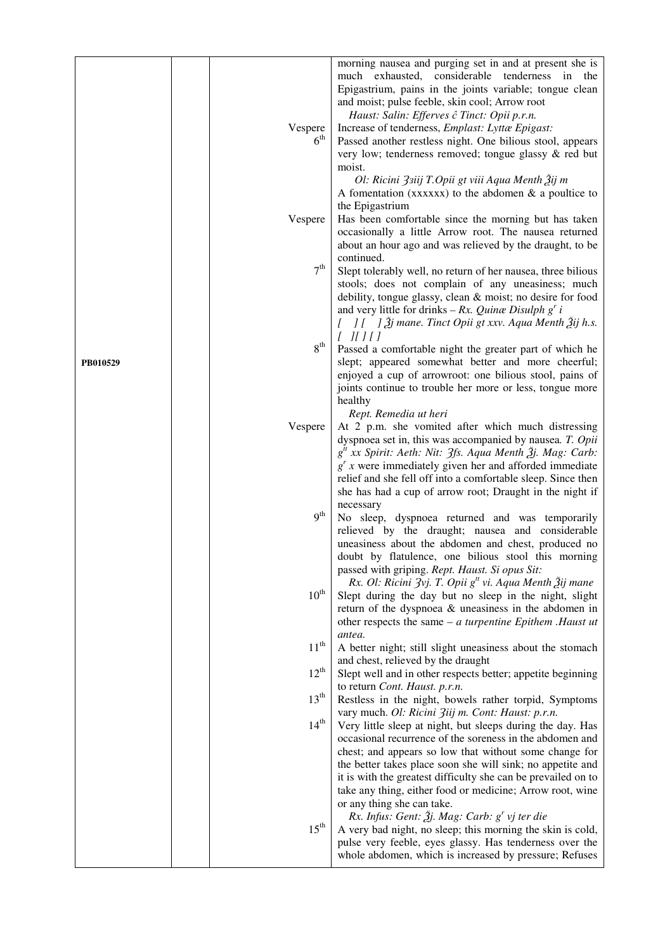|          | Vespere<br>$6^{\rm th}$ | morning nausea and purging set in and at present she is<br>much exhausted, considerable tenderness in the<br>Epigastrium, pains in the joints variable; tongue clean<br>and moist; pulse feeble, skin cool; Arrow root<br>Haust: Salin: Efferves ĉ Tinct: Opii p.r.n.<br>Increase of tenderness, Emplast: Lyttæ Epigast:<br>Passed another restless night. One bilious stool, appears<br>very low; tenderness removed; tongue glassy & red but<br>moist.<br>Ol: Ricini $3$ <i>siij T.Opii gt viii Aqua Menth</i> $3i$ <i>j</i> m<br>A fomentation (xxxxxx) to the abdomen $\&$ a poultice to |
|----------|-------------------------|----------------------------------------------------------------------------------------------------------------------------------------------------------------------------------------------------------------------------------------------------------------------------------------------------------------------------------------------------------------------------------------------------------------------------------------------------------------------------------------------------------------------------------------------------------------------------------------------|
|          | Vespere                 | the Epigastrium<br>Has been comfortable since the morning but has taken<br>occasionally a little Arrow root. The nausea returned<br>about an hour ago and was relieved by the draught, to be                                                                                                                                                                                                                                                                                                                                                                                                 |
|          | 7 <sup>th</sup>         | continued.<br>Slept tolerably well, no return of her nausea, three bilious<br>stools; does not complain of any uneasiness; much<br>debility, tongue glassy, clean $\&$ moist; no desire for food<br>and very little for drinks – Rx. Quinæ Disulph $g'$ i<br>$\begin{bmatrix} 1 & 1 \end{bmatrix}$ $\tilde{A}$ j mane. Tinct Opii gt xxv. Aqua Menth $\tilde{A}$ ij h.s.<br>$[$ $[$ $]$ $[$ $]$ $[$ $]$                                                                                                                                                                                      |
| PB010529 | 8 <sup>th</sup>         | Passed a comfortable night the greater part of which he<br>slept; appeared somewhat better and more cheerful;<br>enjoyed a cup of arrowroot: one bilious stool, pains of<br>joints continue to trouble her more or less, tongue more<br>healthy<br>Rept. Remedia ut heri                                                                                                                                                                                                                                                                                                                     |
|          | Vespere                 | At 2 p.m. she vomited after which much distressing<br>dyspnoea set in, this was accompanied by nausea. T. Opii<br>$g^t$ xx Spirit: Aeth: Nit: 3fs. Aqua Menth $\tilde{g}$ j. Mag: Carb:<br>$g^{r}$ x were immediately given her and afforded immediate<br>relief and she fell off into a comfortable sleep. Since then<br>she has had a cup of arrow root; Draught in the night if                                                                                                                                                                                                           |
|          | 9 <sup>th</sup>         | necessary<br>No sleep, dyspnoea returned and was temporarily<br>relieved by the draught; nausea and considerable<br>uneasiness about the abdomen and chest, produced no<br>doubt by flatulence, one bilious stool this morning<br>passed with griping. Rept. Haust. Si opus Sit:                                                                                                                                                                                                                                                                                                             |
|          | $10^{\rm th}$           | Rx. Ol: Ricini $3$ vj. T. Opii g <sup>tt</sup> vi. Aqua Menth $\tilde{A}$ ij mane<br>Slept during the day but no sleep in the night, slight<br>return of the dyspnoea & uneasiness in the abdomen in<br>other respects the same $-a$ turpentine Epithem . Haust ut<br>antea.                                                                                                                                                                                                                                                                                                                 |
|          | $11^{\rm th}$           | A better night; still slight uneasiness about the stomach                                                                                                                                                                                                                                                                                                                                                                                                                                                                                                                                    |
|          | $12^{th}$               | and chest, relieved by the draught<br>Slept well and in other respects better; appetite beginning                                                                                                                                                                                                                                                                                                                                                                                                                                                                                            |
|          | $13^{\text{th}}$        | to return Cont. Haust. p.r.n.<br>Restless in the night, bowels rather torpid, Symptoms                                                                                                                                                                                                                                                                                                                                                                                                                                                                                                       |
|          | $14^{\text{th}}$        | vary much. Ol: Ricini Ziij m. Cont: Haust: p.r.n.<br>Very little sleep at night, but sleeps during the day. Has<br>occasional recurrence of the soreness in the abdomen and<br>chest; and appears so low that without some change for<br>the better takes place soon she will sink; no appetite and<br>it is with the greatest difficulty she can be prevailed on to<br>take any thing, either food or medicine; Arrow root, wine<br>or any thing she can take.<br>Rx. Infus: Gent: $\tilde{g}$ j. Mag: Carb: $g'$ vj ter die                                                                |
|          | $15^{\text{th}}$        | A very bad night, no sleep; this morning the skin is cold,<br>pulse very feeble, eyes glassy. Has tenderness over the<br>whole abdomen, which is increased by pressure; Refuses                                                                                                                                                                                                                                                                                                                                                                                                              |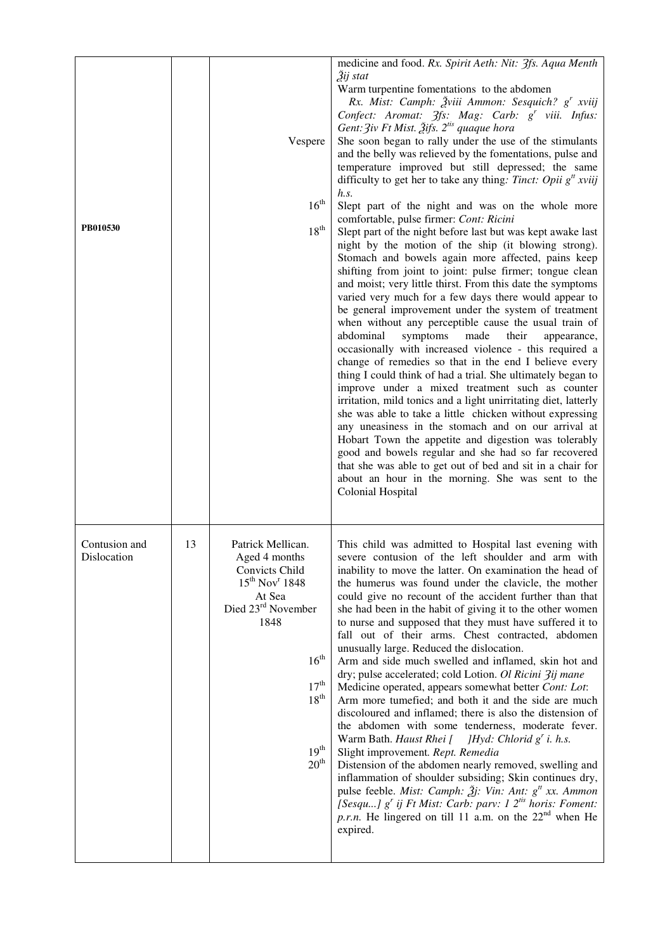| PB010530                     |    | Vespere<br>$16^{\rm th}$<br>$18^{th}$                                                                                                                                                                                            | medicine and food. Rx. Spirit Aeth: Nit: 3fs. Aqua Menth<br>3ij stat<br>Warm turpentine fomentations to the abdomen<br>Rx. Mist: Camph: Žviii Ammon: Sesquich? g <sup>r</sup> xviij<br>Confect: Aromat: 3fs: Mag: Carb: g' viii. Infus:<br>Gent: $\frac{2}{v}$ iv Ft Mist. $\frac{3}{2}$ ifs. $2^{$ is quaque hora<br>She soon began to rally under the use of the stimulants<br>and the belly was relieved by the fomentations, pulse and<br>temperature improved but still depressed; the same<br>difficulty to get her to take any thing: <i>Tinct: Opii</i> $g^u$ <i>xviij</i><br>h.s.<br>Slept part of the night and was on the whole more<br>comfortable, pulse firmer: Cont: Ricini<br>Slept part of the night before last but was kept awake last<br>night by the motion of the ship (it blowing strong).<br>Stomach and bowels again more affected, pains keep<br>shifting from joint to joint: pulse firmer; tongue clean<br>and moist; very little thirst. From this date the symptoms<br>varied very much for a few days there would appear to<br>be general improvement under the system of treatment<br>when without any perceptible cause the usual train of<br>abdominal<br>symptoms<br>made<br>their<br>appearance,<br>occasionally with increased violence - this required a<br>change of remedies so that in the end I believe every<br>thing I could think of had a trial. She ultimately began to<br>improve under a mixed treatment such as counter<br>irritation, mild tonics and a light unirritating diet, latterly<br>she was able to take a little chicken without expressing<br>any uneasiness in the stomach and on our arrival at<br>Hobart Town the appetite and digestion was tolerably<br>good and bowels regular and she had so far recovered<br>that she was able to get out of bed and sit in a chair for<br>about an hour in the morning. She was sent to the<br>Colonial Hospital |
|------------------------------|----|----------------------------------------------------------------------------------------------------------------------------------------------------------------------------------------------------------------------------------|-------------------------------------------------------------------------------------------------------------------------------------------------------------------------------------------------------------------------------------------------------------------------------------------------------------------------------------------------------------------------------------------------------------------------------------------------------------------------------------------------------------------------------------------------------------------------------------------------------------------------------------------------------------------------------------------------------------------------------------------------------------------------------------------------------------------------------------------------------------------------------------------------------------------------------------------------------------------------------------------------------------------------------------------------------------------------------------------------------------------------------------------------------------------------------------------------------------------------------------------------------------------------------------------------------------------------------------------------------------------------------------------------------------------------------------------------------------------------------------------------------------------------------------------------------------------------------------------------------------------------------------------------------------------------------------------------------------------------------------------------------------------------------------------------------------------------------------------------------------------------------------------------------------------------|
| Contusion and<br>Dislocation | 13 | Patrick Mellican.<br>Aged 4 months<br>Convicts Child<br>$15^{th}$ Nov <sup>r</sup> 1848<br>At Sea<br>Died 23rd November<br>1848<br>16 <sup>th</sup><br>$17^{\text{th}}$<br>18 <sup>th</sup><br>$19^{\rm th}$<br>20 <sup>th</sup> | This child was admitted to Hospital last evening with<br>severe contusion of the left shoulder and arm with<br>inability to move the latter. On examination the head of<br>the humerus was found under the clavicle, the mother<br>could give no recount of the accident further than that<br>she had been in the habit of giving it to the other women<br>to nurse and supposed that they must have suffered it to<br>fall out of their arms. Chest contracted, abdomen<br>unusually large. Reduced the dislocation.<br>Arm and side much swelled and inflamed, skin hot and<br>dry; pulse accelerated; cold Lotion. Ol Ricini 3ij mane<br>Medicine operated, appears somewhat better Cont: Lot:<br>Arm more tumefied; and both it and the side are much<br>discoloured and inflamed; there is also the distension of<br>the abdomen with some tenderness, moderate fever.<br>Warm Bath. Haust Rhei [ $JHyd$ : Chlorid $g'$ i. h.s.<br>Slight improvement. Rept. Remedia<br>Distension of the abdomen nearly removed, swelling and<br>inflammation of shoulder subsiding; Skin continues dry,<br>pulse feeble. Mist: Camph: $\tilde{\mathcal{Z}}$ j: Vin: Ant: g <sup>tt</sup> xx. Ammon<br>[Sesqu] $g'$ ij Ft Mist: Carb: parv: 1 $2^{t}$ horis: Foment:<br>p.r.n. He lingered on till 11 a.m. on the $22nd$ when He<br>expired.                                                                                                                                                                                                                                                                                                                                                                                                                                                                                                                                                                                      |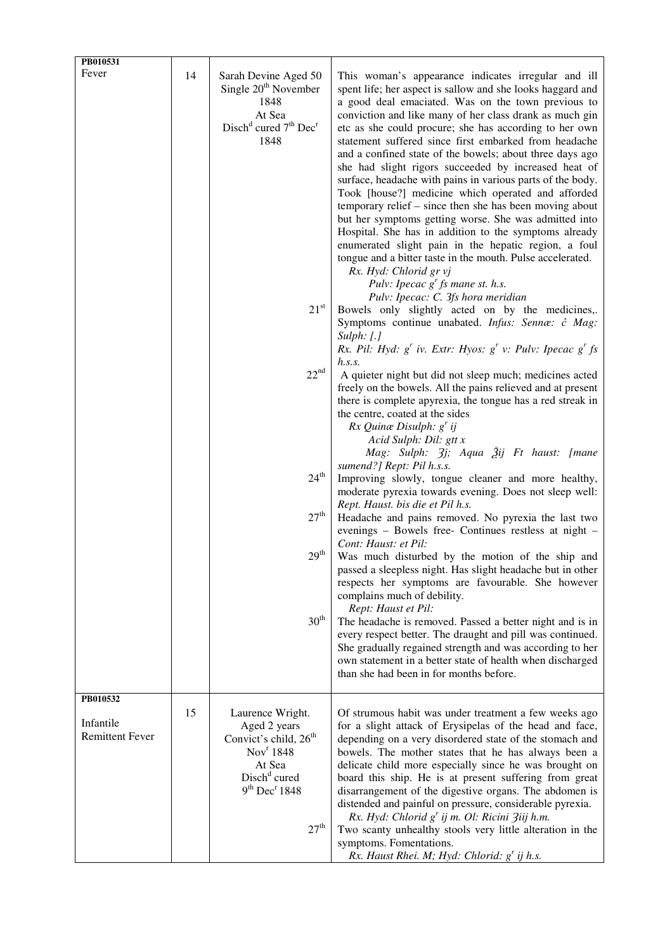| PB010531<br>Fever                               | 14 | Sarah Devine Aged 50<br>Single 20 <sup>th</sup> November<br>1848<br>At Sea<br>Disch <sup>d</sup> cured 7 <sup>th</sup> Dec <sup>r</sup><br>1848<br>$21^{\rm st}$<br>22 <sup>nd</sup><br>$24^{\text{th}}$<br>27 <sup>th</sup><br>29 <sup>th</sup><br>30 <sup>th</sup> | This woman's appearance indicates irregular and ill<br>spent life; her aspect is sallow and she looks haggard and<br>a good deal emaciated. Was on the town previous to<br>conviction and like many of her class drank as much gin<br>etc as she could procure; she has according to her own<br>statement suffered since first embarked from headache<br>and a confined state of the bowels; about three days ago<br>she had slight rigors succeeded by increased heat of<br>surface, headache with pains in various parts of the body.<br>Took [house?] medicine which operated and afforded<br>temporary relief – since then she has been moving about<br>but her symptoms getting worse. She was admitted into<br>Hospital. She has in addition to the symptoms already<br>enumerated slight pain in the hepatic region, a foul<br>tongue and a bitter taste in the mouth. Pulse accelerated.<br>Rx. Hyd: Chlorid gr vj<br>Pulv: Ipecac $g'$ fs mane st. h.s.<br>Pulv: Ipecac: C. 3fs hora meridian<br>Bowels only slightly acted on by the medicines,.<br>Symptoms continue unabated. Infus: Sennæ: ĉ Mag:<br>$Sulph:$ $[.]$<br>Rx. Pil: Hyd: $g'$ iv. Extr: Hyos: $g'$ v: Pulv: Ipecac $g'$ fs<br>h.s.s.<br>A quieter night but did not sleep much; medicines acted<br>freely on the bowels. All the pains relieved and at present<br>there is complete apyrexia, the tongue has a red streak in<br>the centre, coated at the sides<br>$Rx$ Quinæ Disulph: $g'$ ij<br>Acid Sulph: Dil: gtt x<br>Mag: Sulph: $3j$ ; Aqua $3j$ ij Ft haust: [mane<br>sumend?] Rept: Pil h.s.s.<br>Improving slowly, tongue cleaner and more healthy,<br>moderate pyrexia towards evening. Does not sleep well:<br>Rept. Haust. bis die et Pil h.s.<br>Headache and pains removed. No pyrexia the last two<br>evenings - Bowels free- Continues restless at night -<br>Cont: Haust: et Pil:<br>Was much disturbed by the motion of the ship and<br>passed a sleepless night. Has slight headache but in other<br>respects her symptoms are favourable. She however<br>complains much of debility.<br>Rept: Haust et Pil:<br>The headache is removed. Passed a better night and is in<br>every respect better. The draught and pill was continued. |
|-------------------------------------------------|----|----------------------------------------------------------------------------------------------------------------------------------------------------------------------------------------------------------------------------------------------------------------------|-------------------------------------------------------------------------------------------------------------------------------------------------------------------------------------------------------------------------------------------------------------------------------------------------------------------------------------------------------------------------------------------------------------------------------------------------------------------------------------------------------------------------------------------------------------------------------------------------------------------------------------------------------------------------------------------------------------------------------------------------------------------------------------------------------------------------------------------------------------------------------------------------------------------------------------------------------------------------------------------------------------------------------------------------------------------------------------------------------------------------------------------------------------------------------------------------------------------------------------------------------------------------------------------------------------------------------------------------------------------------------------------------------------------------------------------------------------------------------------------------------------------------------------------------------------------------------------------------------------------------------------------------------------------------------------------------------------------------------------------------------------------------------------------------------------------------------------------------------------------------------------------------------------------------------------------------------------------------------------------------------------------------------------------------------------------------------------------------------------------------------------------------------------------------------------------------------------------------------------|
|                                                 |    |                                                                                                                                                                                                                                                                      | She gradually regained strength and was according to her<br>own statement in a better state of health when discharged<br>than she had been in for months before.                                                                                                                                                                                                                                                                                                                                                                                                                                                                                                                                                                                                                                                                                                                                                                                                                                                                                                                                                                                                                                                                                                                                                                                                                                                                                                                                                                                                                                                                                                                                                                                                                                                                                                                                                                                                                                                                                                                                                                                                                                                                    |
| PB010532<br>Infantile<br><b>Remittent Fever</b> | 15 | Laurence Wright.<br>Aged 2 years<br>Convict's child, 26 <sup>th</sup><br>Nov <sup>r</sup> 1848<br>At Sea<br>Disch <sup>d</sup> cured<br>9 <sup>th</sup> Dec <sup>r</sup> 1848<br>27 <sup>th</sup>                                                                    | Of strumous habit was under treatment a few weeks ago<br>for a slight attack of Erysipelas of the head and face,<br>depending on a very disordered state of the stomach and<br>bowels. The mother states that he has always been a<br>delicate child more especially since he was brought on<br>board this ship. He is at present suffering from great<br>disarrangement of the digestive organs. The abdomen is<br>distended and painful on pressure, considerable pyrexia.<br>Rx. Hyd: Chlorid g' ij m. Ol: Ricini Ziij h.m.<br>Two scanty unhealthy stools very little alteration in the<br>symptoms. Fomentations.<br>Rx. Haust Rhei. M; Hyd: Chlorid: g' ij h.s.                                                                                                                                                                                                                                                                                                                                                                                                                                                                                                                                                                                                                                                                                                                                                                                                                                                                                                                                                                                                                                                                                                                                                                                                                                                                                                                                                                                                                                                                                                                                                               |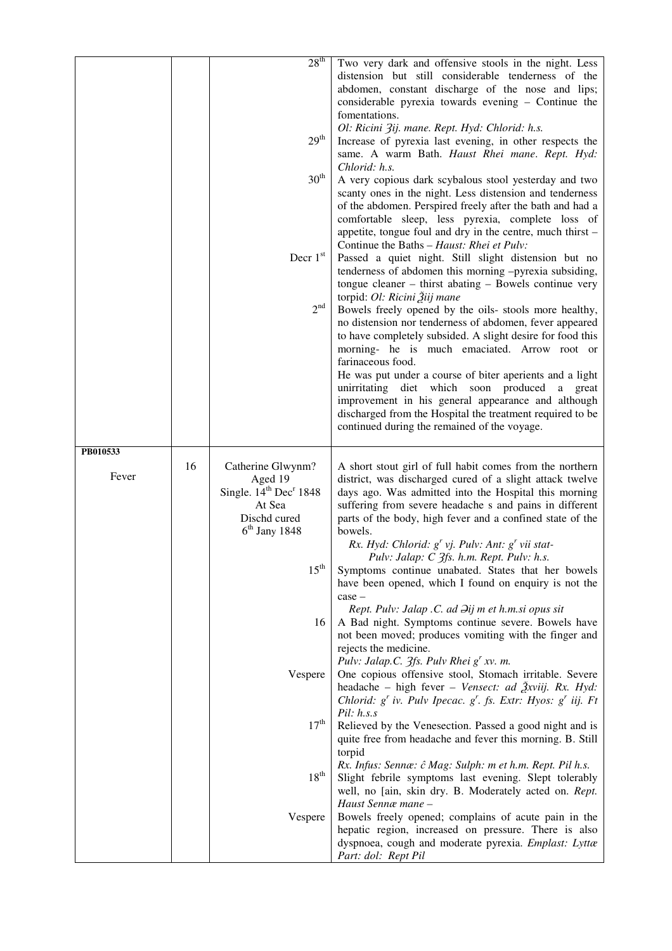|                   |    | 28 <sup>th</sup><br>29 <sup>th</sup><br>30 <sup>th</sup><br>Decr $1st$<br>2 <sup>nd</sup>                                                       | Two very dark and offensive stools in the night. Less<br>distension but still considerable tenderness of the<br>abdomen, constant discharge of the nose and lips;<br>considerable pyrexia towards evening - Continue the<br>fomentations.<br>Ol: Ricini 3ij. mane. Rept. Hyd: Chlorid: h.s.<br>Increase of pyrexia last evening, in other respects the<br>same. A warm Bath. Haust Rhei mane. Rept. Hyd:<br>Chlorid: h.s.<br>A very copious dark scybalous stool yesterday and two<br>scanty ones in the night. Less distension and tenderness<br>of the abdomen. Perspired freely after the bath and had a<br>comfortable sleep, less pyrexia, complete loss of<br>appetite, tongue foul and dry in the centre, much thirst -<br>Continue the Baths - Haust: Rhei et Pulv:<br>Passed a quiet night. Still slight distension but no<br>tenderness of abdomen this morning -pyrexia subsiding,<br>tongue cleaner – thirst abating – Bowels continue very<br>torpid: Ol: Ricini Žiij mane<br>Bowels freely opened by the oils- stools more healthy,<br>no distension nor tenderness of abdomen, fever appeared<br>to have completely subsided. A slight desire for food this<br>morning- he is much emaciated. Arrow root or |
|-------------------|----|-------------------------------------------------------------------------------------------------------------------------------------------------|----------------------------------------------------------------------------------------------------------------------------------------------------------------------------------------------------------------------------------------------------------------------------------------------------------------------------------------------------------------------------------------------------------------------------------------------------------------------------------------------------------------------------------------------------------------------------------------------------------------------------------------------------------------------------------------------------------------------------------------------------------------------------------------------------------------------------------------------------------------------------------------------------------------------------------------------------------------------------------------------------------------------------------------------------------------------------------------------------------------------------------------------------------------------------------------------------------------------------|
|                   |    |                                                                                                                                                 | farinaceous food.<br>He was put under a course of biter aperients and a light<br>unirritating diet which soon produced<br>a great<br>improvement in his general appearance and although<br>discharged from the Hospital the treatment required to be<br>continued during the remained of the voyage.                                                                                                                                                                                                                                                                                                                                                                                                                                                                                                                                                                                                                                                                                                                                                                                                                                                                                                                       |
| PB010533<br>Fever | 16 | Catherine Glwynm?<br>Aged 19<br>Single. 14 <sup>th</sup> Dec <sup>r</sup> 1848<br>At Sea<br>Dischd cured<br>$6th$ Jany 1848<br>$15^{\text{th}}$ | A short stout girl of full habit comes from the northern<br>district, was discharged cured of a slight attack twelve<br>days ago. Was admitted into the Hospital this morning<br>suffering from severe headache s and pains in different<br>parts of the body, high fever and a confined state of the<br>bowels.<br>Rx. Hyd: Chlorid: $g^{r}$ vj. Pulv: Ant: $g^{r}$ vii stat-<br>Pulv: Jalap: C 3fs. h.m. Rept. Pulv: h.s.<br>Symptoms continue unabated. States that her bowels<br>have been opened, which I found on enquiry is not the                                                                                                                                                                                                                                                                                                                                                                                                                                                                                                                                                                                                                                                                                 |
|                   |    | 16<br>Vespere                                                                                                                                   | $case -$<br>Rept. Pulv: Jalap .C. ad $\partial$ ij m et h.m.si opus sit<br>A Bad night. Symptoms continue severe. Bowels have<br>not been moved; produces vomiting with the finger and<br>rejects the medicine.<br>Pulv: Jalap.C. $3fs$ . Pulv Rhei $g^r xv$ . m.<br>One copious offensive stool, Stomach irritable. Severe<br>headache – high fever – Vensect: ad Živiij. Rx. Hyd:<br>Chlorid: $g^r$ iv. Pulv Ipecac. $g^r$ . fs. Extr: Hyos: $g^r$ iij. Ft                                                                                                                                                                                                                                                                                                                                                                                                                                                                                                                                                                                                                                                                                                                                                               |
|                   |    | $17^{\rm th}$<br>$18^{\rm th}$<br>Vespere                                                                                                       | Pil: h.s.s<br>Relieved by the Venesection. Passed a good night and is<br>quite free from headache and fever this morning. B. Still<br>torpid<br>Rx. Infus: Sennæ: ĉ Mag: Sulph: m et h.m. Rept. Pil h.s.<br>Slight febrile symptoms last evening. Slept tolerably<br>well, no [ain, skin dry. B. Moderately acted on. Rept.<br>Haust Sennæ mane -<br>Bowels freely opened; complains of acute pain in the<br>hepatic region, increased on pressure. There is also<br>dyspnoea, cough and moderate pyrexia. Emplast: Lyttæ<br>Part: dol: Rept Pil                                                                                                                                                                                                                                                                                                                                                                                                                                                                                                                                                                                                                                                                           |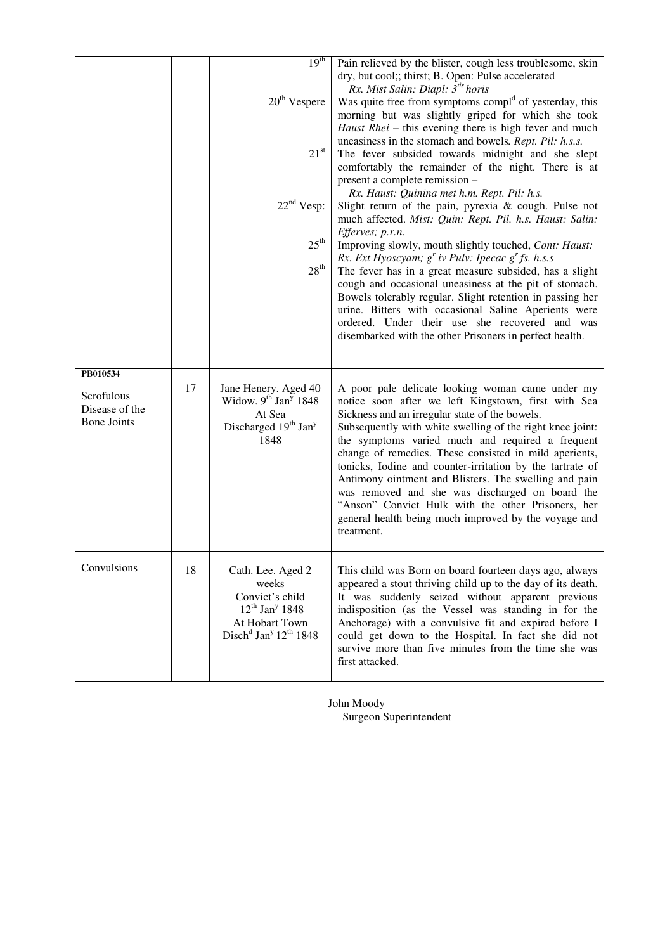|                                                                |    | 19 <sup>th</sup><br>20 <sup>th</sup> Vespere                                                                                                          | Pain relieved by the blister, cough less troublesome, skin<br>dry, but cool;; thirst; B. Open: Pulse accelerated<br>Rx. Mist Salin: Diapl: 3 <sup>tis</sup> horis<br>Was quite free from symptoms compl <sup>d</sup> of yesterday, this<br>morning but was slightly griped for which she took                                                                                                                                                                                                                                                                                                                                             |
|----------------------------------------------------------------|----|-------------------------------------------------------------------------------------------------------------------------------------------------------|-------------------------------------------------------------------------------------------------------------------------------------------------------------------------------------------------------------------------------------------------------------------------------------------------------------------------------------------------------------------------------------------------------------------------------------------------------------------------------------------------------------------------------------------------------------------------------------------------------------------------------------------|
|                                                                |    | $21^{\rm st}$                                                                                                                                         | Haust Rhei - this evening there is high fever and much<br>uneasiness in the stomach and bowels. Rept. Pil: h.s.s.<br>The fever subsided towards midnight and she slept<br>comfortably the remainder of the night. There is at<br>present a complete remission -<br>Rx. Haust: Quinina met h.m. Rept. Pil: h.s.                                                                                                                                                                                                                                                                                                                            |
|                                                                |    | 22 <sup>nd</sup> Vesp:<br>$25^{\text{th}}$                                                                                                            | Slight return of the pain, pyrexia & cough. Pulse not<br>much affected. Mist: Quin: Rept. Pil. h.s. Haust: Salin:<br>Efferves; p.r.n.<br>Improving slowly, mouth slightly touched, Cont: Haust:<br>Rx. Ext Hyoscyam; $g^r$ iv Pulv: Ipecac $g^r$ fs. h.s.s                                                                                                                                                                                                                                                                                                                                                                                |
|                                                                |    | $28^{\rm th}$                                                                                                                                         | The fever has in a great measure subsided, has a slight<br>cough and occasional uneasiness at the pit of stomach.<br>Bowels tolerably regular. Slight retention in passing her<br>urine. Bitters with occasional Saline Aperients were<br>ordered. Under their use she recovered and was<br>disembarked with the other Prisoners in perfect health.                                                                                                                                                                                                                                                                                       |
| PB010534<br>Scrofulous<br>Disease of the<br><b>Bone Joints</b> | 17 | Jane Henery. Aged 40<br>Widow. 9 <sup>th</sup> Jan <sup>y</sup> 1848<br>At Sea<br>Discharged 19 <sup>th</sup> Jan <sup>y</sup><br>1848                | A poor pale delicate looking woman came under my<br>notice soon after we left Kingstown, first with Sea<br>Sickness and an irregular state of the bowels.<br>Subsequently with white swelling of the right knee joint:<br>the symptoms varied much and required a frequent<br>change of remedies. These consisted in mild aperients,<br>tonicks, Iodine and counter-irritation by the tartrate of<br>Antimony ointment and Blisters. The swelling and pain<br>was removed and she was discharged on board the<br>"Anson" Convict Hulk with the other Prisoners, her<br>general health being much improved by the voyage and<br>treatment. |
| Convulsions                                                    | 18 | Cath. Lee. Aged 2<br>weeks<br>Convict's child<br>$12^{th}$ Jan <sup>y</sup> 1848<br>At Hobart Town<br>Disch <sup>d</sup> Jan <sup>y</sup> $12th$ 1848 | This child was Born on board fourteen days ago, always<br>appeared a stout thriving child up to the day of its death.<br>It was suddenly seized without apparent previous<br>indisposition (as the Vessel was standing in for the<br>Anchorage) with a convulsive fit and expired before I<br>could get down to the Hospital. In fact she did not<br>survive more than five minutes from the time she was<br>first attacked.                                                                                                                                                                                                              |

John Moody Surgeon Superintendent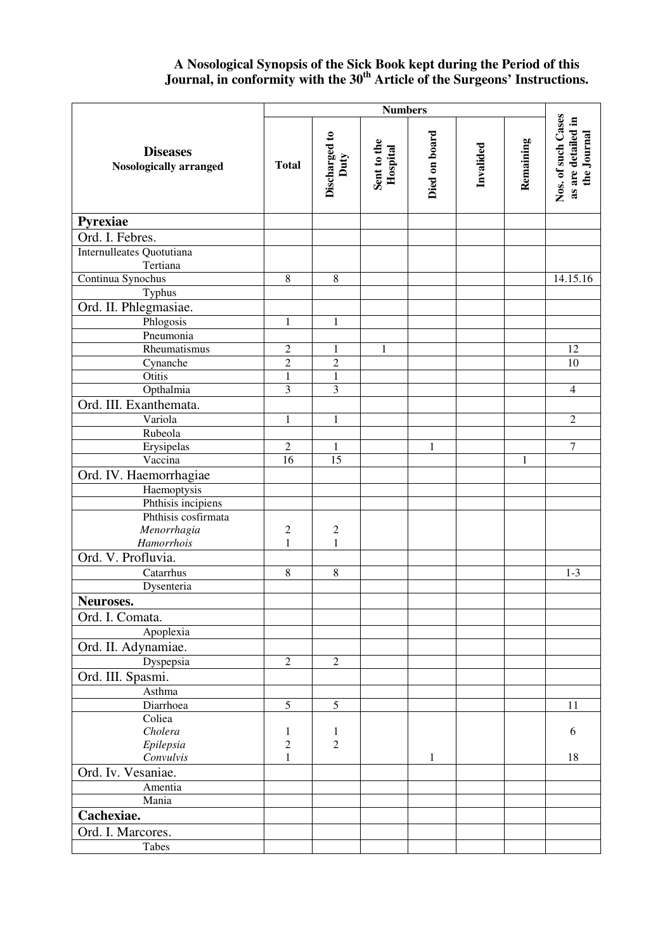## **A Nosological Synopsis of the Sick Book kept during the Period of this Journal, in conformity with the 30th Article of the Surgeons' Instructions.**

|                                                  | <b>Numbers</b>  |                                |                         |               |           |              |                                                         |
|--------------------------------------------------|-----------------|--------------------------------|-------------------------|---------------|-----------|--------------|---------------------------------------------------------|
| <b>Diseases</b><br><b>Nosologically arranged</b> | <b>Total</b>    | Discharged to<br>Duty          | Sent to the<br>Hospital | Died on board | Invalided | Remaining    | Nos. of such Cases<br>as are detailed in<br>the Journal |
| Pyrexiae                                         |                 |                                |                         |               |           |              |                                                         |
| Ord. I. Febres.                                  |                 |                                |                         |               |           |              |                                                         |
| Internulleates Quotutiana                        |                 |                                |                         |               |           |              |                                                         |
| Tertiana                                         |                 |                                |                         |               |           |              |                                                         |
| Continua Synochus                                | $\,8\,$         | $\,8\,$                        |                         |               |           |              | 14.15.16                                                |
| Typhus                                           |                 |                                |                         |               |           |              |                                                         |
| Ord. II. Phlegmasiae.                            |                 |                                |                         |               |           |              |                                                         |
| Phlogosis                                        | $\mathbf{1}$    | $\mathbf{1}$                   |                         |               |           |              |                                                         |
| Pneumonia                                        |                 |                                |                         |               |           |              |                                                         |
| Rheumatismus                                     | $\overline{c}$  | 1                              | $\mathbf{1}$            |               |           |              | 12                                                      |
| Cynanche                                         | $\overline{2}$  | $\overline{c}$                 |                         |               |           |              | 10                                                      |
| Otitis                                           | $\,1$           | 1                              |                         |               |           |              |                                                         |
| Opthalmia                                        | 3               | 3                              |                         |               |           |              | $\overline{4}$                                          |
| Ord. III. Exanthemata.                           |                 |                                |                         |               |           |              |                                                         |
| Variola                                          | 1               | $\mathbf{1}$                   |                         |               |           |              | $\overline{2}$                                          |
| Rubeola                                          |                 |                                |                         |               |           |              |                                                         |
| Erysipelas                                       | $\overline{2}$  | 1                              |                         | 1             |           |              | 7                                                       |
| Vaccina                                          | 16              | 15                             |                         |               |           | $\mathbf{1}$ |                                                         |
| Ord. IV. Haemorrhagiae                           |                 |                                |                         |               |           |              |                                                         |
| Haemoptysis                                      |                 |                                |                         |               |           |              |                                                         |
| Phthisis incipiens                               |                 |                                |                         |               |           |              |                                                         |
| Phthisis cosfirmata                              |                 |                                |                         |               |           |              |                                                         |
| Menorrhagia                                      | $\overline{c}$  | $\boldsymbol{2}$               |                         |               |           |              |                                                         |
| Hamorrhois                                       | 1               | $\mathbf{1}$                   |                         |               |           |              |                                                         |
| Ord. V. Profluvia.                               |                 |                                |                         |               |           |              |                                                         |
| Catarrhus                                        | 8               | $\,8\,$                        |                         |               |           |              | $1 - 3$                                                 |
| Dysenteria                                       |                 |                                |                         |               |           |              |                                                         |
| Neuroses.                                        |                 |                                |                         |               |           |              |                                                         |
| Ord. I. Comata.                                  |                 |                                |                         |               |           |              |                                                         |
|                                                  |                 |                                |                         |               |           |              |                                                         |
| Apoplexia                                        |                 |                                |                         |               |           |              |                                                         |
| Ord. II. Adynamiae.                              |                 |                                |                         |               |           |              |                                                         |
| Dyspepsia                                        | $\overline{2}$  | $\overline{2}$                 |                         |               |           |              |                                                         |
| Ord. III. Spasmi.                                |                 |                                |                         |               |           |              |                                                         |
| Asthma                                           |                 |                                |                         |               |           |              |                                                         |
| Diarrhoea                                        | 5               | 5                              |                         |               |           |              | 11                                                      |
| Coliea                                           |                 |                                |                         |               |           |              |                                                         |
| Cholera                                          | 1<br>$\sqrt{2}$ | $\mathbf{1}$<br>$\overline{2}$ |                         |               |           |              | 6                                                       |
| Epilepsia<br>Convulvis                           | 1               |                                |                         | 1             |           |              | 18                                                      |
| Ord. Iv. Vesaniae.                               |                 |                                |                         |               |           |              |                                                         |
|                                                  |                 |                                |                         |               |           |              |                                                         |
| Amentia                                          |                 |                                |                         |               |           |              |                                                         |
| Mania                                            |                 |                                |                         |               |           |              |                                                         |
| Cachexiae.                                       |                 |                                |                         |               |           |              |                                                         |
| Ord. I. Marcores.                                |                 |                                |                         |               |           |              |                                                         |
| <b>Tabes</b>                                     |                 |                                |                         |               |           |              |                                                         |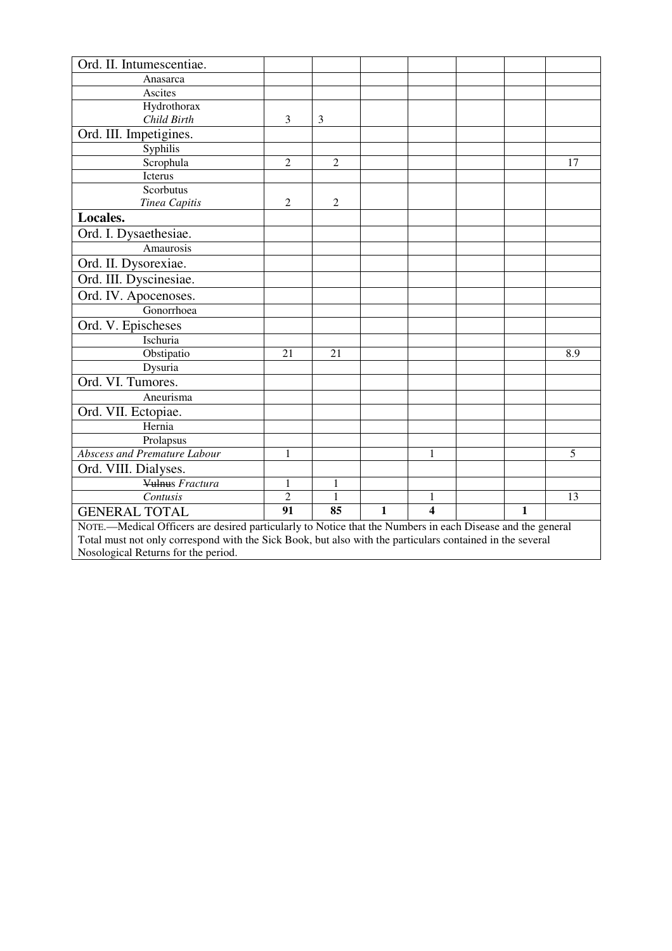| Ord. II. Intumescentiae.                                                                                   |                |                |  |   |  |  |     |
|------------------------------------------------------------------------------------------------------------|----------------|----------------|--|---|--|--|-----|
| Anasarca                                                                                                   |                |                |  |   |  |  |     |
| Ascites                                                                                                    |                |                |  |   |  |  |     |
| Hydrothorax                                                                                                |                |                |  |   |  |  |     |
| Child Birth                                                                                                | 3              | 3              |  |   |  |  |     |
| Ord. III. Impetigines.                                                                                     |                |                |  |   |  |  |     |
| Syphilis                                                                                                   |                |                |  |   |  |  |     |
| Scrophula                                                                                                  | $\overline{2}$ | $\overline{2}$ |  |   |  |  | 17  |
| Icterus                                                                                                    |                |                |  |   |  |  |     |
| Scorbutus                                                                                                  |                |                |  |   |  |  |     |
| Tinea Capitis                                                                                              | 2              | 2              |  |   |  |  |     |
| Locales.                                                                                                   |                |                |  |   |  |  |     |
| Ord. I. Dysaethesiae.                                                                                      |                |                |  |   |  |  |     |
| Amaurosis                                                                                                  |                |                |  |   |  |  |     |
| Ord. II. Dysorexiae.                                                                                       |                |                |  |   |  |  |     |
| Ord. III. Dyscinesiae.                                                                                     |                |                |  |   |  |  |     |
| Ord. IV. Apocenoses.                                                                                       |                |                |  |   |  |  |     |
| Gonorrhoea                                                                                                 |                |                |  |   |  |  |     |
| Ord. V. Epischeses                                                                                         |                |                |  |   |  |  |     |
| Ischuria                                                                                                   |                |                |  |   |  |  |     |
| Obstipatio                                                                                                 | 21             | 21             |  |   |  |  | 8.9 |
| Dysuria                                                                                                    |                |                |  |   |  |  |     |
| Ord. VI. Tumores.                                                                                          |                |                |  |   |  |  |     |
| Aneurisma                                                                                                  |                |                |  |   |  |  |     |
| Ord. VII. Ectopiae.                                                                                        |                |                |  |   |  |  |     |
| Hernia                                                                                                     |                |                |  |   |  |  |     |
| Prolapsus                                                                                                  |                |                |  |   |  |  |     |
| Abscess and Premature Labour                                                                               | 1              |                |  | 1 |  |  | 5   |
| Ord. VIII. Dialyses.                                                                                       |                |                |  |   |  |  |     |
| Vulnus Fractura                                                                                            | 1              | 1              |  |   |  |  |     |
| Contusis                                                                                                   | $\overline{2}$ | 1              |  | 1 |  |  | 13  |
| 91<br>85<br>$\overline{\mathbf{4}}$<br>1<br>1<br><b>GENERAL TOTAL</b>                                      |                |                |  |   |  |  |     |
| NOTE.—Medical Officers are desired particularly to Notice that the Numbers in each Disease and the general |                |                |  |   |  |  |     |
| Total must not only correspond with the Sick Book, but also with the particulars contained in the several  |                |                |  |   |  |  |     |
| Nosological Returns for the period.                                                                        |                |                |  |   |  |  |     |